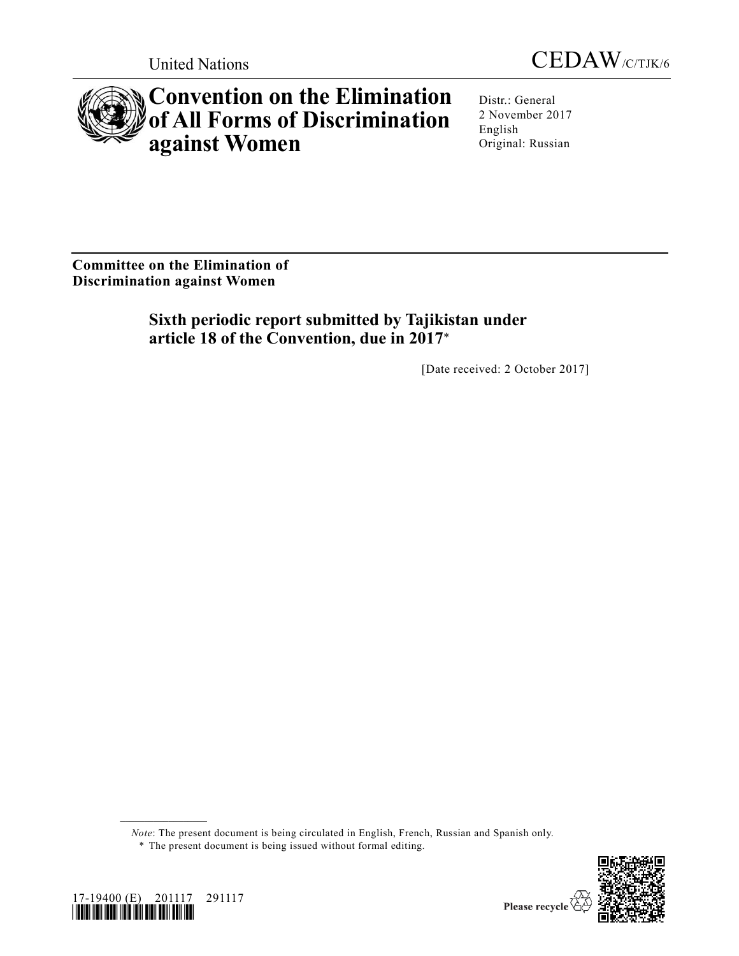



# **Convention on the Elimination of All Forms of Discrimination against Women**

Distr.: General 2 November 2017 English Original: Russian

**Committee on the Elimination of Discrimination against Women**

> **Sixth periodic report submitted by Tajikistan under article 18 of the Convention, due in 2017**\*

> > [Date received: 2 October 2017]

*Note*: The present document is being circulated in English, French, Russian and Spanish only.





**\_\_\_\_\_\_\_\_\_\_\_\_\_\_\_\_\_\_**

<sup>\*</sup> The present document is being issued without formal editing.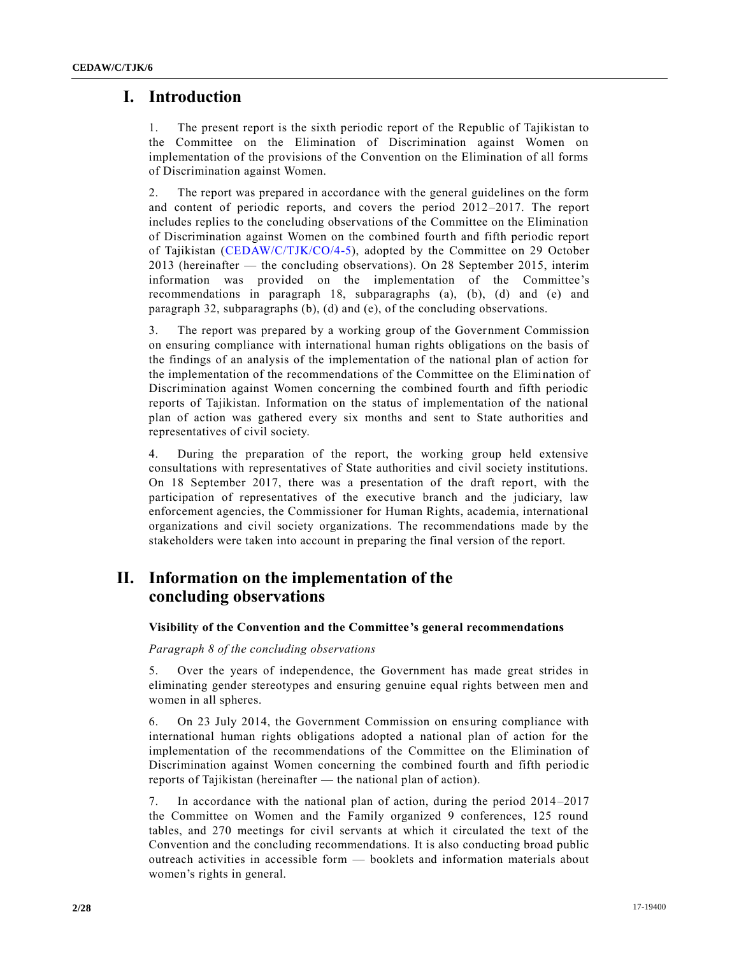# **I. Introduction**

1. The present report is the sixth periodic report of the Republic of Tajikistan to the Committee on the Elimination of Discrimination against Women on implementation of the provisions of the Convention on the Elimination of all forms of Discrimination against Women.

2. The report was prepared in accordance with the general guidelines on the form and content of periodic reports, and covers the period 2012–2017. The report includes replies to the concluding observations of the Committee on the Elimination of Discrimination against Women on the combined fourth and fifth periodic report of Tajikistan [\(CEDAW/C/TJK/CO/4-5\)](https://undocs.org/CEDAW/C/TJK/CO/4), adopted by the Committee on 29 October 2013 (hereinafter — the concluding observations). On 28 September 2015, interim information was provided on the implementation of the Committee's recommendations in paragraph 18, subparagraphs (a), (b), (d) and (e) and paragraph 32, subparagraphs (b), (d) and (e), of the concluding observations.

3. The report was prepared by a working group of the Government Commission on ensuring compliance with international human rights obligations on the basis of the findings of an analysis of the implementation of the national plan of action for the implementation of the recommendations of the Committee on the Elimination of Discrimination against Women concerning the combined fourth and fifth periodic reports of Tajikistan. Information on the status of implementation of the national plan of action was gathered every six months and sent to State authorities and representatives of civil society.

4. During the preparation of the report, the working group held extensive consultations with representatives of State authorities and civil society institutions. On 18 September 2017, there was a presentation of the draft report, with the participation of representatives of the executive branch and the judiciary, law enforcement agencies, the Commissioner for Human Rights, academia, international organizations and civil society organizations. The recommendations made by the stakeholders were taken into account in preparing the final version of the report.

# **II. Information on the implementation of the concluding observations**

# **Visibility of the Convention and the Committee's general recommendations**

# *Paragraph 8 of the concluding observations*

5. Over the years of independence, the Government has made great strides in eliminating gender stereotypes and ensuring genuine equal rights between men and women in all spheres.

6. On 23 July 2014, the Government Commission on ensuring compliance with international human rights obligations adopted a national plan of action for the implementation of the recommendations of the Committee on the Elimination of Discrimination against Women concerning the combined fourth and fifth periodic reports of Tajikistan (hereinafter — the national plan of action).

7. In accordance with the national plan of action, during the period 2014–2017 the Committee on Women and the Family organized 9 conferences, 125 round tables, and 270 meetings for civil servants at which it circulated the text of the Convention and the concluding recommendations. It is also conducting broad public outreach activities in accessible form — booklets and information materials about women's rights in general.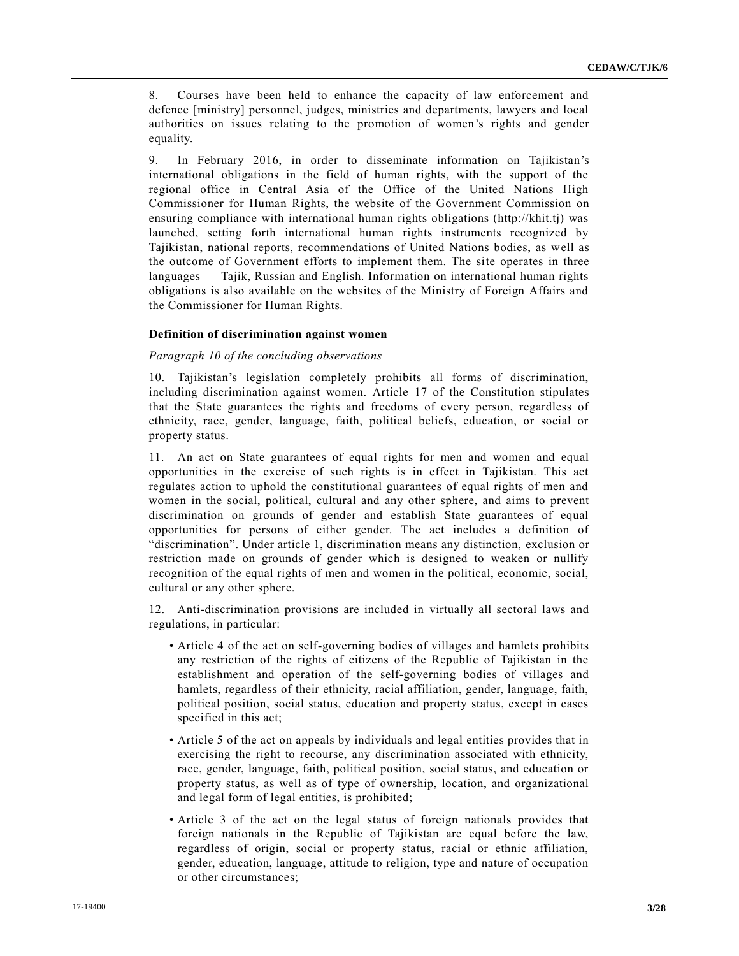8. Courses have been held to enhance the capacity of law enforcement and defence [ministry] personnel, judges, ministries and departments, lawyers and local authorities on issues relating to the promotion of women's rights and gender equality.

9. In February 2016, in order to disseminate information on Tajikistan's international obligations in the field of human rights, with the support of the regional office in Central Asia of the Office of the United Nations High Commissioner for Human Rights, the website of the Government Commission on ensuring compliance with international human rights obligations (http://khit.tj) was launched, setting forth international human rights instruments recognized by Tajikistan, national reports, recommendations of United Nations bodies, as well as the outcome of Government efforts to implement them. The site operates in three languages — Tajik, Russian and English. Information on international human rights obligations is also available on the websites of the Ministry of Foreign Affairs and the Commissioner for Human Rights.

#### **Definition of discrimination against women**

#### *Paragraph 10 of the concluding observations*

10. Tajikistan's legislation completely prohibits all forms of discrimination, including discrimination against women. Article 17 of the Constitution stipulates that the State guarantees the rights and freedoms of every person, regardless of ethnicity, race, gender, language, faith, political beliefs, education, or social or property status.

11. An act on State guarantees of equal rights for men and women and equal opportunities in the exercise of such rights is in effect in Tajikistan. This act regulates action to uphold the constitutional guarantees of equal rights of men and women in the social, political, cultural and any other sphere, and aims to prevent discrimination on grounds of gender and establish State guarantees of equal opportunities for persons of either gender. The act includes a definition of "discrimination". Under article 1, discrimination means any distinction, exclusion or restriction made on grounds of gender which is designed to weaken or nullify recognition of the equal rights of men and women in the political, economic, social, cultural or any other sphere.

12. Anti-discrimination provisions are included in virtually all sectoral laws and regulations, in particular:

- Article 4 of the act on self-governing bodies of villages and hamlets prohibits any restriction of the rights of citizens of the Republic of Tajikistan in the establishment and operation of the self-governing bodies of villages and hamlets, regardless of their ethnicity, racial affiliation, gender, language, faith, political position, social status, education and property status, except in cases specified in this act;
- Article 5 of the act on appeals by individuals and legal entities provides that in exercising the right to recourse, any discrimination associated with ethnicity, race, gender, language, faith, political position, social status, and education or property status, as well as of type of ownership, location, and organizational and legal form of legal entities, is prohibited;
- Article 3 of the act on the legal status of foreign nationals provides that foreign nationals in the Republic of Tajikistan are equal before the law, regardless of origin, social or property status, racial or ethnic affiliation, gender, education, language, attitude to religion, type and nature of occupation or other circumstances;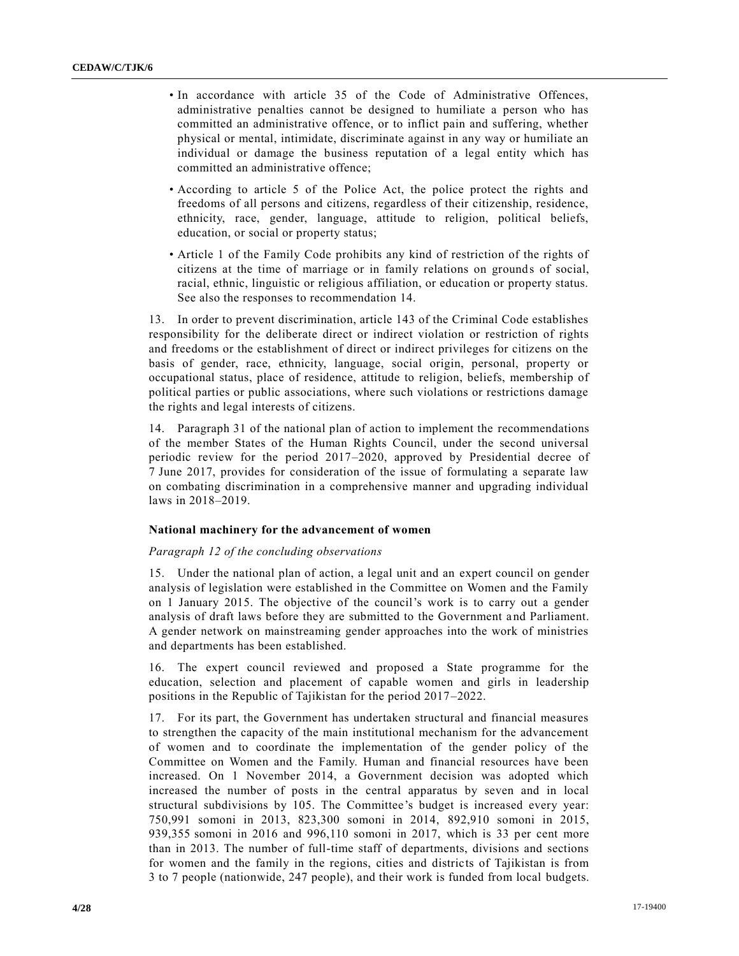- In accordance with article 35 of the Code of Administrative Offences, administrative penalties cannot be designed to humiliate a person who has committed an administrative offence, or to inflict pain and suffering, whether physical or mental, intimidate, discriminate against in any way or humiliate an individual or damage the business reputation of a legal entity which has committed an administrative offence;
- According to article 5 of the Police Act, the police protect the rights and freedoms of all persons and citizens, regardless of their citizenship, residence, ethnicity, race, gender, language, attitude to religion, political beliefs, education, or social or property status;
- Article 1 of the Family Code prohibits any kind of restriction of the rights of citizens at the time of marriage or in family relations on grounds of social, racial, ethnic, linguistic or religious affiliation, or education or property status. See also the responses to recommendation 14.

13. In order to prevent discrimination, article 143 of the Criminal Code establishes responsibility for the deliberate direct or indirect violation or restriction of rights and freedoms or the establishment of direct or indirect privileges for citizens on the basis of gender, race, ethnicity, language, social origin, personal, property or occupational status, place of residence, attitude to religion, beliefs, membership of political parties or public associations, where such violations or restrictions damage the rights and legal interests of citizens.

14. Paragraph 31 of the national plan of action to implement the recommendations of the member States of the Human Rights Council, under the second universal periodic review for the period 2017–2020, approved by Presidential decree of 7 June 2017, provides for consideration of the issue of formulating a separate law on combating discrimination in a comprehensive manner and upgrading individual laws in 2018–2019.

# **National machinery for the advancement of women**

#### *Paragraph 12 of the concluding observations*

15. Under the national plan of action, a legal unit and an expert council on gender analysis of legislation were established in the Committee on Women and the Family on 1 January 2015. The objective of the council's work is to carry out a gender analysis of draft laws before they are submitted to the Government and Parliament. A gender network on mainstreaming gender approaches into the work of ministries and departments has been established.

16. The expert council reviewed and proposed a State programme for the education, selection and placement of capable women and girls in leadership positions in the Republic of Tajikistan for the period 2017–2022.

17. For its part, the Government has undertaken structural and financial measures to strengthen the capacity of the main institutional mechanism for the advancement of women and to coordinate the implementation of the gender policy of the Committee on Women and the Family. Human and financial resources have been increased. On 1 November 2014, a Government decision was adopted which increased the number of posts in the central apparatus by seven and in local structural subdivisions by 105. The Committee's budget is increased every year: 750,991 somoni in 2013, 823,300 somoni in 2014, 892,910 somoni in 2015, 939,355 somoni in 2016 and 996,110 somoni in 2017, which is 33 per cent more than in 2013. The number of full-time staff of departments, divisions and sections for women and the family in the regions, cities and districts of Tajikistan is from 3 to 7 people (nationwide, 247 people), and their work is funded from local budgets.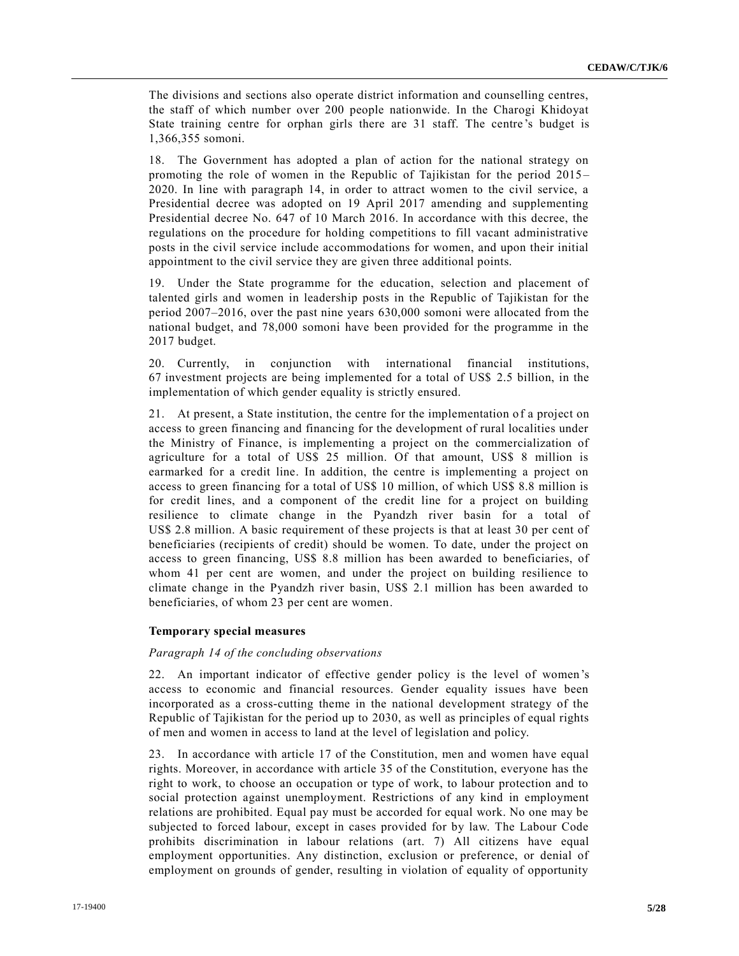The divisions and sections also operate district information and counselling centres, the staff of which number over 200 people nationwide. In the Charogi Khidoyat State training centre for orphan girls there are 31 staff. The centre 's budget is 1,366,355 somoni.

18. The Government has adopted a plan of action for the national strategy on promoting the role of women in the Republic of Tajikistan for the period 2015 – 2020. In line with paragraph 14, in order to attract women to the civil service, a Presidential decree was adopted on 19 April 2017 amending and supplementing Presidential decree No. 647 of 10 March 2016. In accordance with this decree, the regulations on the procedure for holding competitions to fill vacant administrative posts in the civil service include accommodations for women, and upon their initial appointment to the civil service they are given three additional points.

19. Under the State programme for the education, selection and placement of talented girls and women in leadership posts in the Republic of Tajikistan for the period 2007–2016, over the past nine years 630,000 somoni were allocated from the national budget, and 78,000 somoni have been provided for the programme in the 2017 budget.

20. Currently, in conjunction with international financial institutions, 67 investment projects are being implemented for a total of US\$ 2.5 billion, in the implementation of which gender equality is strictly ensured.

21. At present, a State institution, the centre for the implementation of a project on access to green financing and financing for the development of rural localities under the Ministry of Finance, is implementing a project on the commercialization of agriculture for a total of US\$ 25 million. Of that amount, US\$ 8 million is earmarked for a credit line. In addition, the centre is implementing a project on access to green financing for a total of US\$ 10 million, of which US\$ 8.8 million is for credit lines, and a component of the credit line for a project on building resilience to climate change in the Pyandzh river basin for a total of US\$ 2.8 million. A basic requirement of these projects is that at least 30 per cent of beneficiaries (recipients of credit) should be women. To date, under the project on access to green financing, US\$ 8.8 million has been awarded to beneficiaries, of whom 41 per cent are women, and under the project on building resilience to climate change in the Pyandzh river basin, US\$ 2.1 million has been awarded to beneficiaries, of whom 23 per cent are women.

# **Temporary special measures**

#### *Paragraph 14 of the concluding observations*

22. An important indicator of effective gender policy is the level of women 's access to economic and financial resources. Gender equality issues have been incorporated as a cross-cutting theme in the national development strategy of the Republic of Tajikistan for the period up to 2030, as well as principles of equal rights of men and women in access to land at the level of legislation and policy.

23. In accordance with article 17 of the Constitution, men and women have equal rights. Moreover, in accordance with article 35 of the Constitution, everyone has the right to work, to choose an occupation or type of work, to labour protection and to social protection against unemployment. Restrictions of any kind in employment relations are prohibited. Equal pay must be accorded for equal work. No one may be subjected to forced labour, except in cases provided for by law. The Labour Code prohibits discrimination in labour relations (art. 7) All citizens have equal employment opportunities. Any distinction, exclusion or preference, or denial of employment on grounds of gender, resulting in violation of equality of opportunity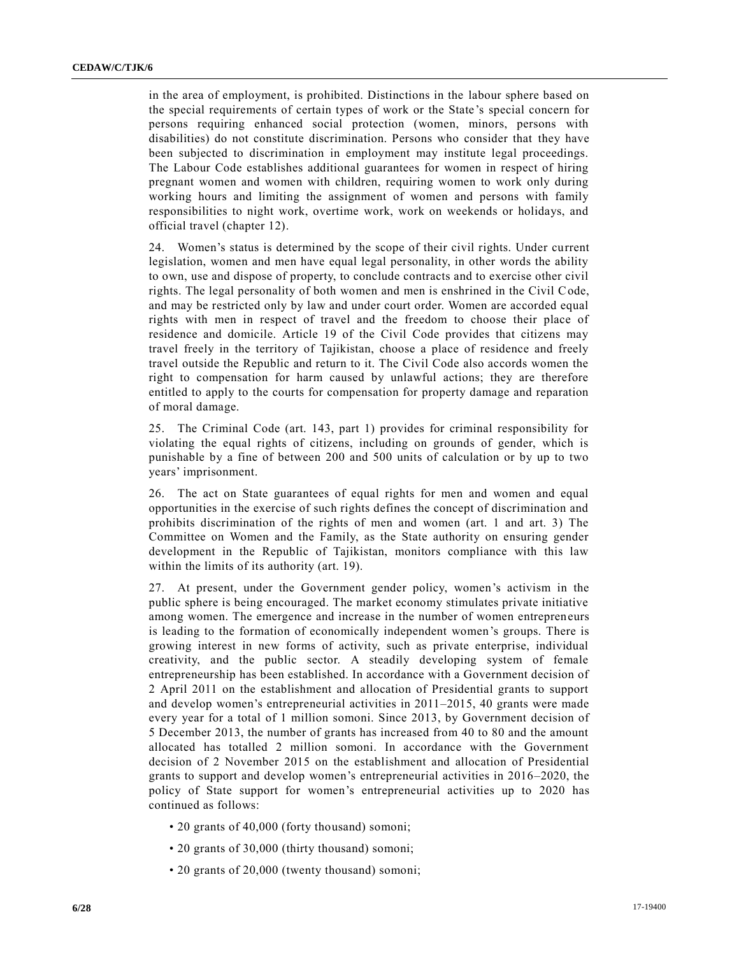in the area of employment, is prohibited. Distinctions in the labour sphere based on the special requirements of certain types of work or the State 's special concern for persons requiring enhanced social protection (women, minors, persons with disabilities) do not constitute discrimination. Persons who consider that they have been subjected to discrimination in employment may institute legal proceedings. The Labour Code establishes additional guarantees for women in respect of hiring pregnant women and women with children, requiring women to work only during working hours and limiting the assignment of women and persons with family responsibilities to night work, overtime work, work on weekends or holidays, and official travel (chapter 12).

24. Women's status is determined by the scope of their civil rights. Under current legislation, women and men have equal legal personality, in other words the ability to own, use and dispose of property, to conclude contracts and to exercise other civil rights. The legal personality of both women and men is enshrined in the Civil Code, and may be restricted only by law and under court order. Women are accorded equal rights with men in respect of travel and the freedom to choose their place of residence and domicile. Article 19 of the Civil Code provides that citizens may travel freely in the territory of Tajikistan, choose a place of residence and freely travel outside the Republic and return to it. The Civil Code also accords women the right to compensation for harm caused by unlawful actions; they are therefore entitled to apply to the courts for compensation for property damage and reparation of moral damage.

25. The Criminal Code (art. 143, part 1) provides for criminal responsibility for violating the equal rights of citizens, including on grounds of gender, which is punishable by a fine of between 200 and 500 units of calculation or by up to two years' imprisonment.

26. The act on State guarantees of equal rights for men and women and equal opportunities in the exercise of such rights defines the concept of discrimination and prohibits discrimination of the rights of men and women (art. 1 and art. 3) The Committee on Women and the Family, as the State authority on ensuring gender development in the Republic of Tajikistan, monitors compliance with this law within the limits of its authority (art. 19).

27. At present, under the Government gender policy, women's activism in the public sphere is being encouraged. The market economy stimulates private initiative among women. The emergence and increase in the number of women entrepreneurs is leading to the formation of economically independent women's groups. There is growing interest in new forms of activity, such as private enterprise, individual creativity, and the public sector. A steadily developing system of female entrepreneurship has been established. In accordance with a Government decision of 2 April 2011 on the establishment and allocation of Presidential grants to support and develop women's entrepreneurial activities in 2011–2015, 40 grants were made every year for a total of 1 million somoni. Since 2013, by Government decision of 5 December 2013, the number of grants has increased from 40 to 80 and the amount allocated has totalled 2 million somoni. In accordance with the Government decision of 2 November 2015 on the establishment and allocation of Presidential grants to support and develop women's entrepreneurial activities in 2016–2020, the policy of State support for women's entrepreneurial activities up to 2020 has continued as follows:

- 20 grants of 40,000 (forty thousand) somoni;
- 20 grants of 30,000 (thirty thousand) somoni;
- 20 grants of 20,000 (twenty thousand) somoni;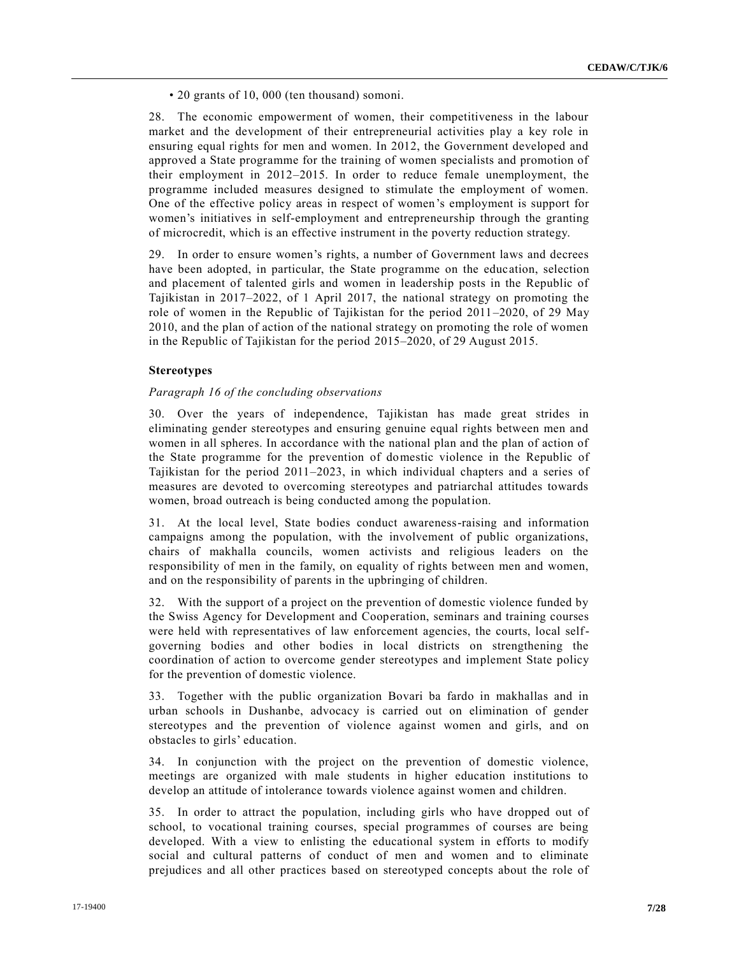• 20 grants of 10, 000 (ten thousand) somoni.

28. The economic empowerment of women, their competitiveness in the labour market and the development of their entrepreneurial activities play a key role in ensuring equal rights for men and women. In 2012, the Government developed and approved a State programme for the training of women specialists and promotion of their employment in 2012–2015. In order to reduce female unemployment, the programme included measures designed to stimulate the employment of women. One of the effective policy areas in respect of women's employment is support for women's initiatives in self-employment and entrepreneurship through the granting of microcredit, which is an effective instrument in the poverty reduction strategy.

29. In order to ensure women's rights, a number of Government laws and decrees have been adopted, in particular, the State programme on the education, selection and placement of talented girls and women in leadership posts in the Republic of Tajikistan in 2017–2022, of 1 April 2017, the national strategy on promoting the role of women in the Republic of Tajikistan for the period 2011–2020, of 29 May 2010, and the plan of action of the national strategy on promoting the role of women in the Republic of Tajikistan for the period 2015–2020, of 29 August 2015.

# **Stereotypes**

#### *Paragraph 16 of the concluding observations*

30. Over the years of independence, Tajikistan has made great strides in eliminating gender stereotypes and ensuring genuine equal rights between men and women in all spheres. In accordance with the national plan and the plan of action of the State programme for the prevention of domestic violence in the Republic of Tajikistan for the period 2011–2023, in which individual chapters and a series of measures are devoted to overcoming stereotypes and patriarchal attitudes towards women, broad outreach is being conducted among the population.

31. At the local level, State bodies conduct awareness-raising and information campaigns among the population, with the involvement of public organizations, chairs of makhalla councils, women activists and religious leaders on the responsibility of men in the family, on equality of rights between men and women, and on the responsibility of parents in the upbringing of children.

32. With the support of a project on the prevention of domestic violence funded by the Swiss Agency for Development and Cooperation, seminars and training courses were held with representatives of law enforcement agencies, the courts, local selfgoverning bodies and other bodies in local districts on strengthening the coordination of action to overcome gender stereotypes and implement State policy for the prevention of domestic violence.

33. Together with the public organization Bovari ba fardo in makhallas and in urban schools in Dushanbe, advocacy is carried out on elimination of gender stereotypes and the prevention of violence against women and girls, and on obstacles to girls' education.

34. In conjunction with the project on the prevention of domestic violence, meetings are organized with male students in higher education institutions to develop an attitude of intolerance towards violence against women and children.

35. In order to attract the population, including girls who have dropped out of school, to vocational training courses, special programmes of courses are being developed. With a view to enlisting the educational system in efforts to modify social and cultural patterns of conduct of men and women and to eliminate prejudices and all other practices based on stereotyped concepts about the role of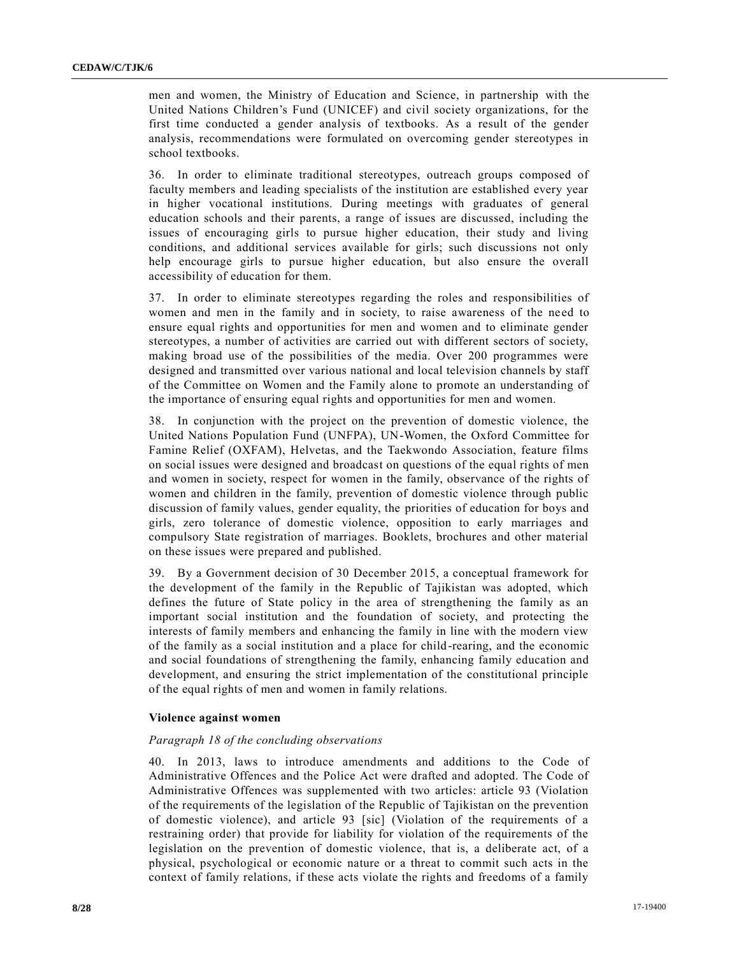men and women, the Ministry of Education and Science, in partnership with the United Nations Children's Fund (UNICEF) and civil society organizations, for the first time conducted a gender analysis of textbooks. As a result of the gender analysis, recommendations were formulated on overcoming gender stereotypes in school textbooks.

36. In order to eliminate traditional stereotypes, outreach groups composed of faculty members and leading specialists of the institution are established every year in higher vocational institutions. During meetings with graduates of general education schools and their parents, a range of issues are discussed, including the issues of encouraging girls to pursue higher education, their study and living conditions, and additional services available for girls; such discussions not only help encourage girls to pursue higher education, but also ensure the overall accessibility of education for them.

37. In order to eliminate stereotypes regarding the roles and responsibilities of women and men in the family and in society, to raise awareness of the need to ensure equal rights and opportunities for men and women and to eliminate gender stereotypes, a number of activities are carried out with different sectors of society, making broad use of the possibilities of the media. Over 200 programmes were designed and transmitted over various national and local television channels by staff of the Committee on Women and the Family alone to promote an understanding of the importance of ensuring equal rights and opportunities for men and women.

38. In conjunction with the project on the prevention of domestic violence, the United Nations Population Fund (UNFPA), UN-Women, the Oxford Committee for Famine Relief (OXFAM), Helvetas, and the Taekwondo Association, feature films on social issues were designed and broadcast on questions of the equal rights of men and women in society, respect for women in the family, observance of the rights of women and children in the family, prevention of domestic violence through public discussion of family values, gender equality, the priorities of education for boys and girls, zero tolerance of domestic violence, opposition to early marriages and compulsory State registration of marriages. Booklets, brochures and other material on these issues were prepared and published.

39. By a Government decision of 30 December 2015, a conceptual framework for the development of the family in the Republic of Tajikistan was adopted, which defines the future of State policy in the area of strengthening the family as an important social institution and the foundation of society, and protecting the interests of family members and enhancing the family in line with the modern view of the family as a social institution and a place for child-rearing, and the economic and social foundations of strengthening the family, enhancing family education and development, and ensuring the strict implementation of the constitutional principle of the equal rights of men and women in family relations.

#### **Violence against women**

#### *Paragraph 18 of the concluding observations*

40. In 2013, laws to introduce amendments and additions to the Code of Administrative Offences and the Police Act were drafted and adopted. The Code of Administrative Offences was supplemented with two articles: article 93 (Violation of the requirements of the legislation of the Republic of Tajikistan on the prevention of domestic violence), and article 93 [sic] (Violation of the requirements of a restraining order) that provide for liability for violation of the requirements of the legislation on the prevention of domestic violence, that is, a deliberate act, of a physical, psychological or economic nature or a threat to commit such acts in the context of family relations, if these acts violate the rights and freedoms of a family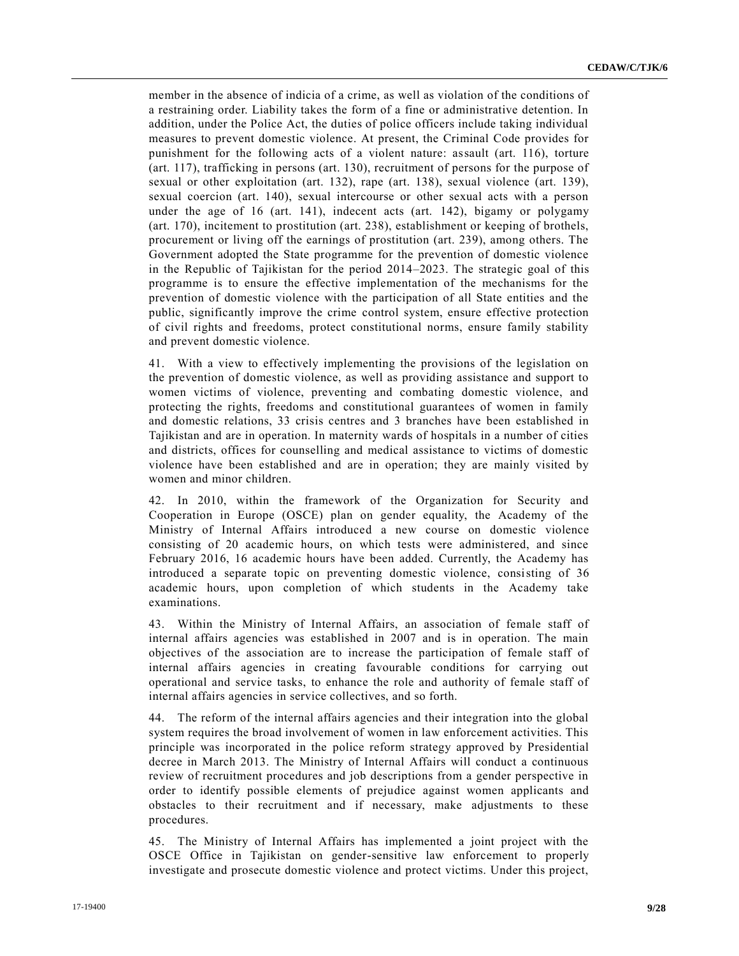member in the absence of indicia of a crime, as well as violation of the conditions of a restraining order. Liability takes the form of a fine or administrative detention. In addition, under the Police Act, the duties of police officers include taking individual measures to prevent domestic violence. At present, the Criminal Code provides for punishment for the following acts of a violent nature: assault (art. 116), torture (art. 117), trafficking in persons (art. 130), recruitment of persons for the purpose of sexual or other exploitation (art. 132), rape (art. 138), sexual violence (art. 139), sexual coercion (art. 140), sexual intercourse or other sexual acts with a person under the age of 16 (art. 141), indecent acts (art. 142), bigamy or polygamy (art. 170), incitement to prostitution (art. 238), establishment or keeping of brothels, procurement or living off the earnings of prostitution (art. 239), among others. The Government adopted the State programme for the prevention of domestic violence in the Republic of Tajikistan for the period 2014–2023. The strategic goal of this programme is to ensure the effective implementation of the mechanisms for the prevention of domestic violence with the participation of all State entities and the public, significantly improve the crime control system, ensure effective protection of civil rights and freedoms, protect constitutional norms, ensure family stability and prevent domestic violence.

41. With a view to effectively implementing the provisions of the legislation on the prevention of domestic violence, as well as providing assistance and support to women victims of violence, preventing and combating domestic violence, and protecting the rights, freedoms and constitutional guarantees of women in family and domestic relations, 33 crisis centres and 3 branches have been established in Tajikistan and are in operation. In maternity wards of hospitals in a number of cities and districts, offices for counselling and medical assistance to victims of domestic violence have been established and are in operation; they are mainly visited by women and minor children.

42. In 2010, within the framework of the Organization for Security and Cooperation in Europe (OSCE) plan on gender equality, the Academy of the Ministry of Internal Affairs introduced a new course on domestic violence consisting of 20 academic hours, on which tests were administered, and since February 2016, 16 academic hours have been added. Currently, the Academy has introduced a separate topic on preventing domestic violence, consisting of 36 academic hours, upon completion of which students in the Academy take examinations.

43. Within the Ministry of Internal Affairs, an association of female staff of internal affairs agencies was established in 2007 and is in operation. The main objectives of the association are to increase the participation of female staff of internal affairs agencies in creating favourable conditions for carrying out operational and service tasks, to enhance the role and authority of female staff of internal affairs agencies in service collectives, and so forth.

44. The reform of the internal affairs agencies and their integration into the global system requires the broad involvement of women in law enforcement activities. This principle was incorporated in the police reform strategy approved by Presidential decree in March 2013. The Ministry of Internal Affairs will conduct a continuous review of recruitment procedures and job descriptions from a gender perspective in order to identify possible elements of prejudice against women applicants and obstacles to their recruitment and if necessary, make adjustments to these procedures.

45. The Ministry of Internal Affairs has implemented a joint project with the OSCE Office in Tajikistan on gender-sensitive law enforcement to properly investigate and prosecute domestic violence and protect victims. Under this project,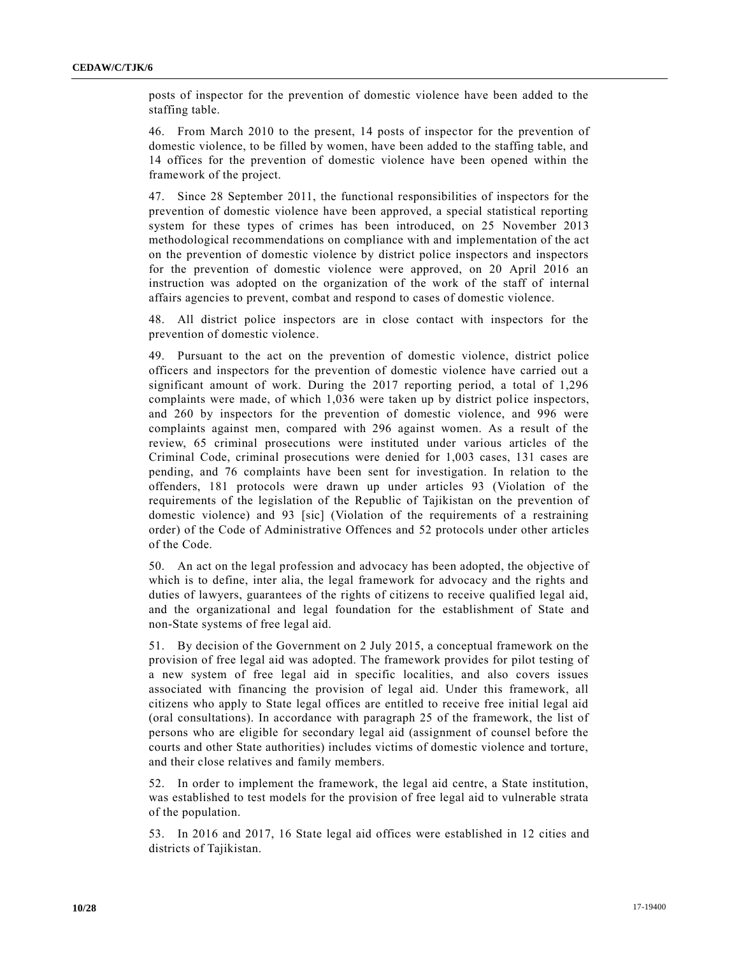posts of inspector for the prevention of domestic violence have been added to the staffing table.

46. From March 2010 to the present, 14 posts of inspector for the prevention of domestic violence, to be filled by women, have been added to the staffing table, and 14 offices for the prevention of domestic violence have been opened within the framework of the project.

47. Since 28 September 2011, the functional responsibilities of inspectors for the prevention of domestic violence have been approved, a special statistical reporting system for these types of crimes has been introduced, on 25 November 2013 methodological recommendations on compliance with and implementation of the act on the prevention of domestic violence by district police inspectors and inspectors for the prevention of domestic violence were approved, on 20 April 2016 an instruction was adopted on the organization of the work of the staff of internal affairs agencies to prevent, combat and respond to cases of domestic violence.

48. All district police inspectors are in close contact with inspectors for the prevention of domestic violence.

49. Pursuant to the act on the prevention of domestic violence, district police officers and inspectors for the prevention of domestic violence have carried out a significant amount of work. During the 2017 reporting period, a total of 1,296 complaints were made, of which 1,036 were taken up by district police inspectors, and 260 by inspectors for the prevention of domestic violence, and 996 were complaints against men, compared with 296 against women. As a result of the review, 65 criminal prosecutions were instituted under various articles of the Criminal Code, criminal prosecutions were denied for 1,003 cases, 131 cases are pending, and 76 complaints have been sent for investigation. In relation to the offenders, 181 protocols were drawn up under articles 93 (Violation of the requirements of the legislation of the Republic of Tajikistan on the prevention of domestic violence) and 93 [sic] (Violation of the requirements of a restraining order) of the Code of Administrative Offences and 52 protocols under other articles of the Code.

50. An act on the legal profession and advocacy has been adopted, the objective of which is to define, inter alia, the legal framework for advocacy and the rights and duties of lawyers, guarantees of the rights of citizens to receive qualified legal aid, and the organizational and legal foundation for the establishment of State and non-State systems of free legal aid.

51. By decision of the Government on 2 July 2015, a conceptual framework on the provision of free legal aid was adopted. The framework provides for pilot testing of a new system of free legal aid in specific localities, and also covers issues associated with financing the provision of legal aid. Under this framework, all citizens who apply to State legal offices are entitled to receive free initial legal aid (oral consultations). In accordance with paragraph 25 of the framework, the list of persons who are eligible for secondary legal aid (assignment of counsel before the courts and other State authorities) includes victims of domestic violence and torture, and their close relatives and family members.

52. In order to implement the framework, the legal aid centre, a State institution, was established to test models for the provision of free legal aid to vulnerable strata of the population.

53. In 2016 and 2017, 16 State legal aid offices were established in 12 cities and districts of Tajikistan.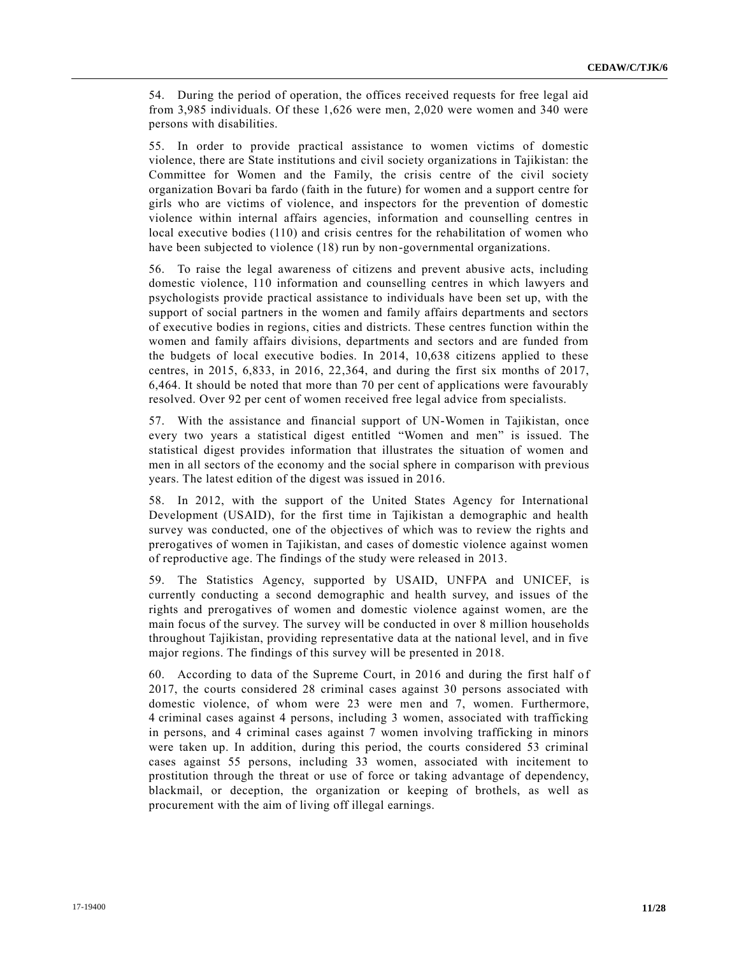54. During the period of operation, the offices received requests for free legal aid from 3,985 individuals. Of these 1,626 were men, 2,020 were women and 340 were persons with disabilities.

55. In order to provide practical assistance to women victims of domestic violence, there are State institutions and civil society organizations in Tajikistan: the Committee for Women and the Family, the crisis centre of the civil society organization Bovari ba fardo (faith in the future) for women and a support centre for girls who are victims of violence, and inspectors for the prevention of domestic violence within internal affairs agencies, information and counselling centres in local executive bodies (110) and crisis centres for the rehabilitation of women who have been subjected to violence (18) run by non-governmental organizations.

56. To raise the legal awareness of citizens and prevent abusive acts, including domestic violence, 110 information and counselling centres in which lawyers and psychologists provide practical assistance to individuals have been set up, with the support of social partners in the women and family affairs departments and sectors of executive bodies in regions, cities and districts. These centres function within the women and family affairs divisions, departments and sectors and are funded from the budgets of local executive bodies. In 2014, 10,638 citizens applied to these centres, in 2015, 6,833, in 2016, 22,364, and during the first six months of 2017, 6,464. It should be noted that more than 70 per cent of applications were favourably resolved. Over 92 per cent of women received free legal advice from specialists.

57. With the assistance and financial support of UN-Women in Tajikistan, once every two years a statistical digest entitled "Women and men" is issued. The statistical digest provides information that illustrates the situation of women and men in all sectors of the economy and the social sphere in comparison with previous years. The latest edition of the digest was issued in 2016.

58. In 2012, with the support of the United States Agency for International Development (USAID), for the first time in Tajikistan a demographic and health survey was conducted, one of the objectives of which was to review the rights and prerogatives of women in Tajikistan, and cases of domestic violence against women of reproductive age. The findings of the study were released in 2013.

59. The Statistics Agency, supported by USAID, UNFPA and UNICEF, is currently conducting a second demographic and health survey, and issues of the rights and prerogatives of women and domestic violence against women, are the main focus of the survey. The survey will be conducted in over 8 million households throughout Tajikistan, providing representative data at the national level, and in five major regions. The findings of this survey will be presented in 2018.

60. According to data of the Supreme Court, in 2016 and during the first half o f 2017, the courts considered 28 criminal cases against 30 persons associated with domestic violence, of whom were 23 were men and 7, women. Furthermore, 4 criminal cases against 4 persons, including 3 women, associated with trafficking in persons, and 4 criminal cases against 7 women involving trafficking in minors were taken up. In addition, during this period, the courts considered 53 criminal cases against 55 persons, including 33 women, associated with incitement to prostitution through the threat or use of force or taking advantage of dependency, blackmail, or deception, the organization or keeping of brothels, as well as procurement with the aim of living off illegal earnings.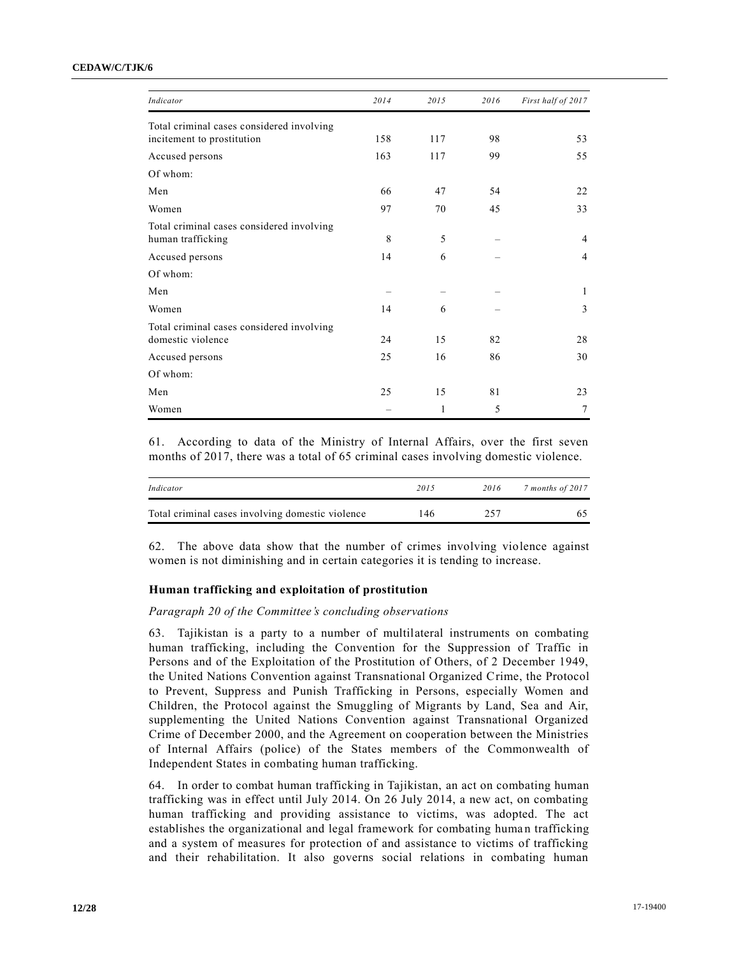#### **CEDAW/C/TJK/6**

| Indicator                                                      | 2014 | 2015 | 2016 | First half of 2017 |
|----------------------------------------------------------------|------|------|------|--------------------|
| Total criminal cases considered involving                      |      |      |      |                    |
| incitement to prostitution                                     | 158  | 117  | 98   | 53                 |
| Accused persons                                                | 163  | 117  | 99   | 55                 |
| Of whom:                                                       |      |      |      |                    |
| Men                                                            | 66   | 47   | 54   | 22                 |
| Women                                                          | 97   | 70   | 45   | 33                 |
| Total criminal cases considered involving<br>human trafficking | 8    | 5    |      | 4                  |
| Accused persons                                                | 14   | 6    |      | 4                  |
| Of whom:                                                       |      |      |      |                    |
| Men                                                            |      |      |      | 1                  |
| Women                                                          | 14   | 6    |      | 3                  |
| Total criminal cases considered involving                      |      |      |      |                    |
| domestic violence                                              | 24   | 15   | 82   | 28                 |
| Accused persons                                                | 25   | 16   | 86   | 30                 |
| Of whom:                                                       |      |      |      |                    |
| Men                                                            | 25   | 15   | 81   | 23                 |
| Women                                                          |      | 1    | 5    | 7                  |

61. According to data of the Ministry of Internal Affairs, over the first seven months of 2017, there was a total of 65 criminal cases involving domestic violence.

| Indicator                                        | 2015 | 2016 | 7 months of 2017 |
|--------------------------------------------------|------|------|------------------|
| Total criminal cases involving domestic violence | ! 46 | 257  |                  |

62. The above data show that the number of crimes involving violence against women is not diminishing and in certain categories it is tending to increase.

#### **Human trafficking and exploitation of prostitution**

#### *Paragraph 20 of the Committee's concluding observations*

63. Tajikistan is a party to a number of multilateral instruments on combating human trafficking, including the Convention for the Suppression of Traffic in Persons and of the Exploitation of the Prostitution of Others, of 2 December 1949, the United Nations Convention against Transnational Organized Crime, the Protocol to Prevent, Suppress and Punish Trafficking in Persons, especially Women and Children, the Protocol against the Smuggling of Migrants by Land, Sea and Air, supplementing the United Nations Convention against Transnational Organized Crime of December 2000, and the Agreement on cooperation between the Ministries of Internal Affairs (police) of the States members of the Commonwealth of Independent States in combating human trafficking.

64. In order to combat human trafficking in Tajikistan, an act on combating human trafficking was in effect until July 2014. On 26 July 2014, a new act, on combating human trafficking and providing assistance to victims, was adopted. The act establishes the organizational and legal framework for combating human trafficking and a system of measures for protection of and assistance to victims of trafficking and their rehabilitation. It also governs social relations in combating human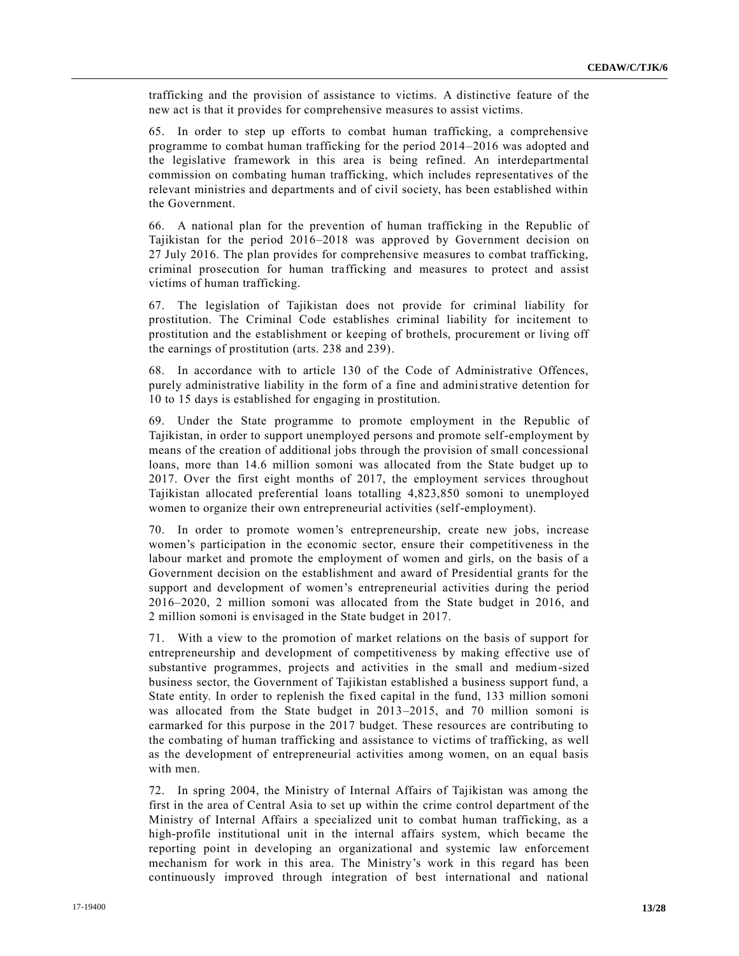trafficking and the provision of assistance to victims. A distinctive feature of the new act is that it provides for comprehensive measures to assist victims.

65. In order to step up efforts to combat human trafficking, a comprehensive programme to combat human trafficking for the period 2014–2016 was adopted and the legislative framework in this area is being refined. An interdepartmental commission on combating human trafficking, which includes representatives of the relevant ministries and departments and of civil society, has been established within the Government.

66. A national plan for the prevention of human trafficking in the Republic of Tajikistan for the period 2016–2018 was approved by Government decision on 27 July 2016. The plan provides for comprehensive measures to combat trafficking, criminal prosecution for human trafficking and measures to protect and assist victims of human trafficking.

67. The legislation of Tajikistan does not provide for criminal liability for prostitution. The Criminal Code establishes criminal liability for incitement to prostitution and the establishment or keeping of brothels, procurement or living off the earnings of prostitution (arts. 238 and 239).

68. In accordance with to article 130 of the Code of Administrative Offences, purely administrative liability in the form of a fine and administrative detention for 10 to 15 days is established for engaging in prostitution.

69. Under the State programme to promote employment in the Republic of Tajikistan, in order to support unemployed persons and promote self-employment by means of the creation of additional jobs through the provision of small concessional loans, more than 14.6 million somoni was allocated from the State budget up to 2017. Over the first eight months of 2017, the employment services throughout Tajikistan allocated preferential loans totalling 4,823,850 somoni to unemployed women to organize their own entrepreneurial activities (self-employment).

70. In order to promote women's entrepreneurship, create new jobs, increase women's participation in the economic sector, ensure their competitiveness in the labour market and promote the employment of women and girls, on the basis of a Government decision on the establishment and award of Presidential grants for the support and development of women's entrepreneurial activities during the period 2016–2020, 2 million somoni was allocated from the State budget in 2016, and 2 million somoni is envisaged in the State budget in 2017.

71. With a view to the promotion of market relations on the basis of support for entrepreneurship and development of competitiveness by making effective use of substantive programmes, projects and activities in the small and medium-sized business sector, the Government of Tajikistan established a business support fund, a State entity. In order to replenish the fixed capital in the fund, 133 million somoni was allocated from the State budget in 2013–2015, and 70 million somoni is earmarked for this purpose in the 2017 budget. These resources are contributing to the combating of human trafficking and assistance to victims of trafficking, as well as the development of entrepreneurial activities among women, on an equal basis with men.

72. In spring 2004, the Ministry of Internal Affairs of Tajikistan was among the first in the area of Central Asia to set up within the crime control department of the Ministry of Internal Affairs a specialized unit to combat human trafficking, as a high-profile institutional unit in the internal affairs system, which became the reporting point in developing an organizational and systemic law enforcement mechanism for work in this area. The Ministry's work in this regard has been continuously improved through integration of best international and national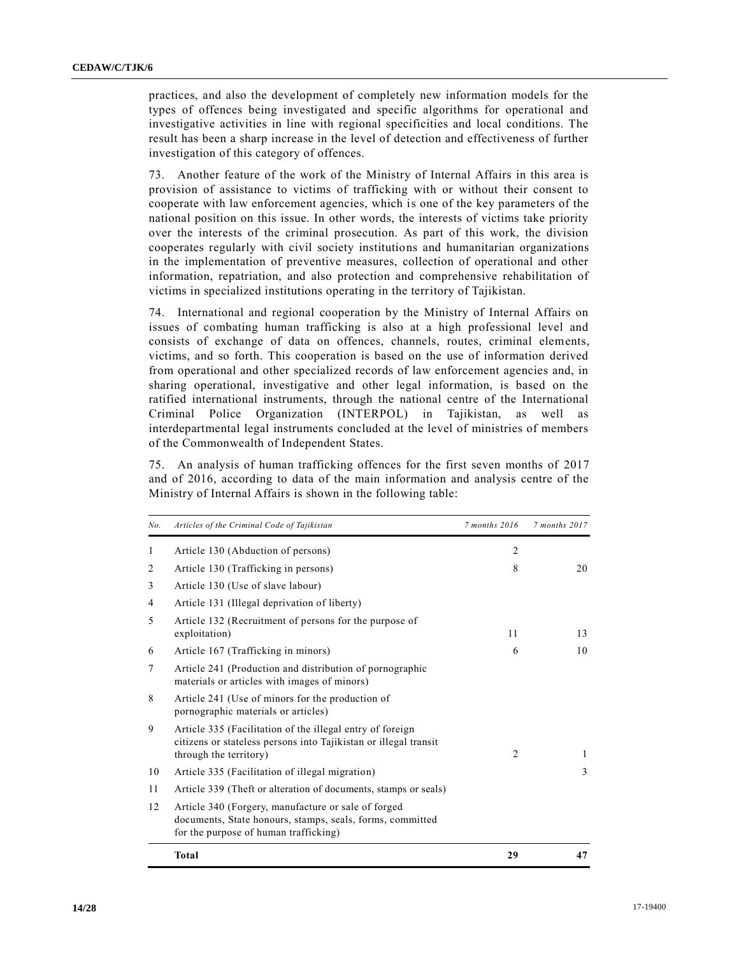practices, and also the development of completely new information models for the types of offences being investigated and specific algorithms for operational and investigative activities in line with regional specificities and local conditions. The result has been a sharp increase in the level of detection and effectiveness of further investigation of this category of offences.

73. Another feature of the work of the Ministry of Internal Affairs in this area is provision of assistance to victims of trafficking with or without their consent to cooperate with law enforcement agencies, which is one of the key parameters of the national position on this issue. In other words, the interests of victims take priority over the interests of the criminal prosecution. As part of this work, the division cooperates regularly with civil society institutions and humanitarian organizations in the implementation of preventive measures, collection of operational and other information, repatriation, and also protection and comprehensive rehabilitation of victims in specialized institutions operating in the territory of Tajikistan.

74. International and regional cooperation by the Ministry of Internal Affairs on issues of combating human trafficking is also at a high professional level and consists of exchange of data on offences, channels, routes, criminal elements, victims, and so forth. This cooperation is based on the use of information derived from operational and other specialized records of law enforcement agencies and, in sharing operational, investigative and other legal information, is based on the ratified international instruments, through the national centre of the International Criminal Police Organization (INTERPOL) in Tajikistan, as well as interdepartmental legal instruments concluded at the level of ministries of members of the Commonwealth of Independent States.

75. An analysis of human trafficking offences for the first seven months of 2017 and of 2016, according to data of the main information and analysis centre of the Ministry of Internal Affairs is shown in the following table:

| No. | Articles of the Criminal Code of Tajikistan                                                                                                               | 7 months 2016  | 7 months 2017 |
|-----|-----------------------------------------------------------------------------------------------------------------------------------------------------------|----------------|---------------|
| 1   | Article 130 (Abduction of persons)                                                                                                                        | $\overline{c}$ |               |
| 2   | Article 130 (Trafficking in persons)                                                                                                                      | 8              | 20            |
| 3   | Article 130 (Use of slave labour)                                                                                                                         |                |               |
| 4   | Article 131 (Illegal deprivation of liberty)                                                                                                              |                |               |
| 5   | Article 132 (Recruitment of persons for the purpose of<br>exploitation)                                                                                   | 11             | 13            |
| 6   | Article 167 (Trafficking in minors)                                                                                                                       | 6              | 10            |
| 7   | Article 241 (Production and distribution of pornographic<br>materials or articles with images of minors)                                                  |                |               |
| 8   | Article 241 (Use of minors for the production of<br>pornographic materials or articles)                                                                   |                |               |
| 9   | Article 335 (Facilitation of the illegal entry of foreign<br>citizens or stateless persons into Tajikistan or illegal transit<br>through the territory)   | 2              | 1             |
| 10  | Article 335 (Facilitation of illegal migration)                                                                                                           |                | 3             |
| 11  | Article 339 (Theft or alteration of documents, stamps or seals)                                                                                           |                |               |
| 12  | Article 340 (Forgery, manufacture or sale of forged<br>documents, State honours, stamps, seals, forms, committed<br>for the purpose of human trafficking) |                |               |
|     | <b>Total</b>                                                                                                                                              | 29             | 47            |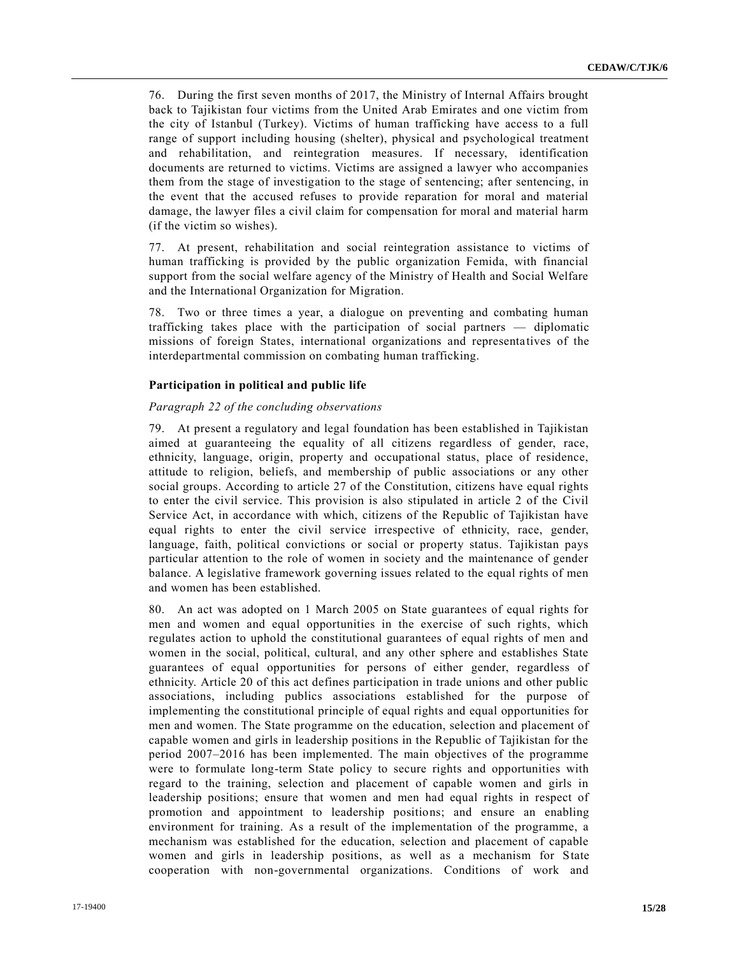76. During the first seven months of 2017, the Ministry of Internal Affairs brought back to Tajikistan four victims from the United Arab Emirates and one victim from the city of Istanbul (Turkey). Victims of human trafficking have access to a full range of support including housing (shelter), physical and psychological treatment and rehabilitation, and reintegration measures. If necessary, identification documents are returned to victims. Victims are assigned a lawyer who accompanies them from the stage of investigation to the stage of sentencing; after sentencing, in the event that the accused refuses to provide reparation for moral and material damage, the lawyer files a civil claim for compensation for moral and material harm (if the victim so wishes).

77. At present, rehabilitation and social reintegration assistance to victims of human trafficking is provided by the public organization Femida, with financial support from the social welfare agency of the Ministry of Health and Social Welfare and the International Organization for Migration.

78. Two or three times a year, a dialogue on preventing and combating human trafficking takes place with the participation of social partners — diplomatic missions of foreign States, international organizations and representatives of the interdepartmental commission on combating human trafficking.

# **Participation in political and public life**

#### *Paragraph 22 of the concluding observations*

79. At present a regulatory and legal foundation has been established in Tajikistan aimed at guaranteeing the equality of all citizens regardless of gender, race, ethnicity, language, origin, property and occupational status, place of residence, attitude to religion, beliefs, and membership of public associations or any other social groups. According to article 27 of the Constitution, citizens have equal rights to enter the civil service. This provision is also stipulated in article 2 of the Civil Service Act, in accordance with which, citizens of the Republic of Tajikistan have equal rights to enter the civil service irrespective of ethnicity, race, gender, language, faith, political convictions or social or property status. Tajikistan pays particular attention to the role of women in society and the maintenance of gender balance. A legislative framework governing issues related to the equal rights of men and women has been established.

80. An act was adopted on 1 March 2005 on State guarantees of equal rights for men and women and equal opportunities in the exercise of such rights, which regulates action to uphold the constitutional guarantees of equal rights of men and women in the social, political, cultural, and any other sphere and establishes State guarantees of equal opportunities for persons of either gender, regardless of ethnicity. Article 20 of this act defines participation in trade unions and other public associations, including publics associations established for the purpose of implementing the constitutional principle of equal rights and equal opportunities for men and women. The State programme on the education, selection and placement of capable women and girls in leadership positions in the Republic of Tajikistan for the period 2007–2016 has been implemented. The main objectives of the programme were to formulate long-term State policy to secure rights and opportunities with regard to the training, selection and placement of capable women and girls in leadership positions; ensure that women and men had equal rights in respect of promotion and appointment to leadership positions; and ensure an enabling environment for training. As a result of the implementation of the programme, a mechanism was established for the education, selection and placement of capable women and girls in leadership positions, as well as a mechanism for State cooperation with non-governmental organizations. Conditions of work and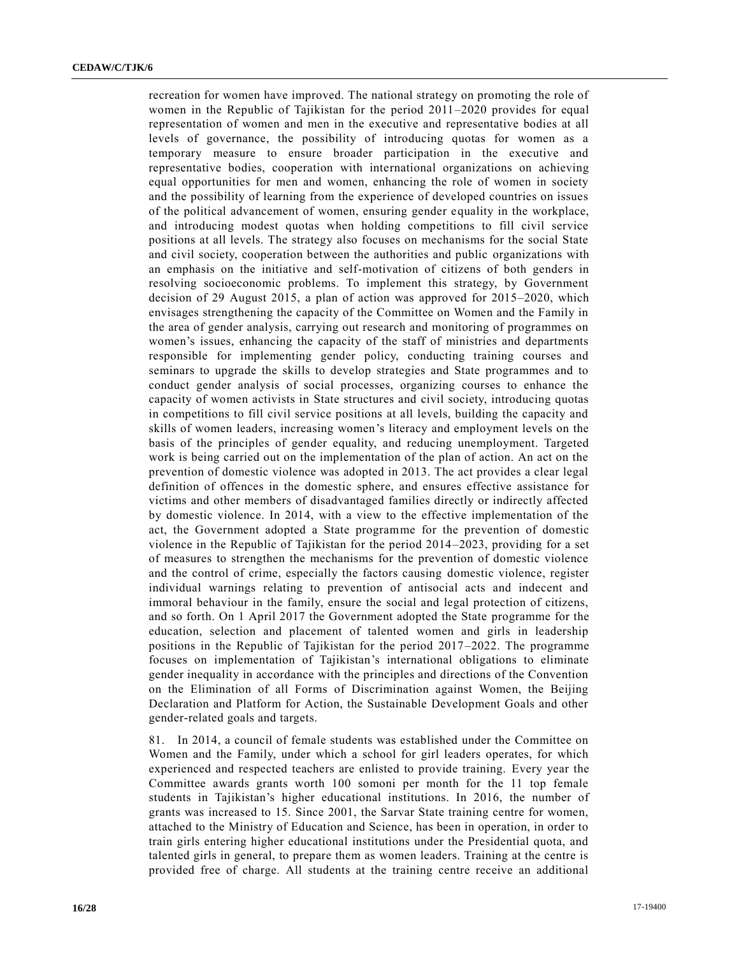recreation for women have improved. The national strategy on promoting the role of women in the Republic of Tajikistan for the period 2011–2020 provides for equal representation of women and men in the executive and representative bodies at all levels of governance, the possibility of introducing quotas for women as a temporary measure to ensure broader participation in the executive and representative bodies, cooperation with international organizations on achieving equal opportunities for men and women, enhancing the role of women in society and the possibility of learning from the experience of developed countries on issues of the political advancement of women, ensuring gender equality in the workplace, and introducing modest quotas when holding competitions to fill civil service positions at all levels. The strategy also focuses on mechanisms for the social State and civil society, cooperation between the authorities and public organizations with an emphasis on the initiative and self-motivation of citizens of both genders in resolving socioeconomic problems. To implement this strategy, by Government decision of 29 August 2015, a plan of action was approved for 2015–2020, which envisages strengthening the capacity of the Committee on Women and the Family in the area of gender analysis, carrying out research and monitoring of programmes on women's issues, enhancing the capacity of the staff of ministries and departments responsible for implementing gender policy, conducting training courses and seminars to upgrade the skills to develop strategies and State programmes and to conduct gender analysis of social processes, organizing courses to enhance the capacity of women activists in State structures and civil society, introducing quotas in competitions to fill civil service positions at all levels, building the capacity and skills of women leaders, increasing women's literacy and employment levels on the basis of the principles of gender equality, and reducing unemployment. Targeted work is being carried out on the implementation of the plan of action. An act on the prevention of domestic violence was adopted in 2013. The act provides a clear legal definition of offences in the domestic sphere, and ensures effective assistance for victims and other members of disadvantaged families directly or indirectly affected by domestic violence. In 2014, with a view to the effective implementation of the act, the Government adopted a State programme for the prevention of domestic violence in the Republic of Tajikistan for the period 2014–2023, providing for a set of measures to strengthen the mechanisms for the prevention of domestic violence and the control of crime, especially the factors causing domestic violence, register individual warnings relating to prevention of antisocial acts and indecent and immoral behaviour in the family, ensure the social and legal protection of citizens, and so forth. On 1 April 2017 the Government adopted the State programme for the education, selection and placement of talented women and girls in leadership positions in the Republic of Tajikistan for the period 2017–2022. The programme focuses on implementation of Tajikistan's international obligations to eliminate gender inequality in accordance with the principles and directions of the Convention on the Elimination of all Forms of Discrimination against Women, the Beijing Declaration and Platform for Action, the Sustainable Development Goals and other gender-related goals and targets.

81. In 2014, a council of female students was established under the Committee on Women and the Family, under which a school for girl leaders operates, for which experienced and respected teachers are enlisted to provide training. Every year the Committee awards grants worth 100 somoni per month for the 11 top female students in Tajikistan's higher educational institutions. In 2016, the number of grants was increased to 15. Since 2001, the Sarvar State training centre for women, attached to the Ministry of Education and Science, has been in operation, in order to train girls entering higher educational institutions under the Presidential quota, and talented girls in general, to prepare them as women leaders. Training at the centre is provided free of charge. All students at the training centre receive an additional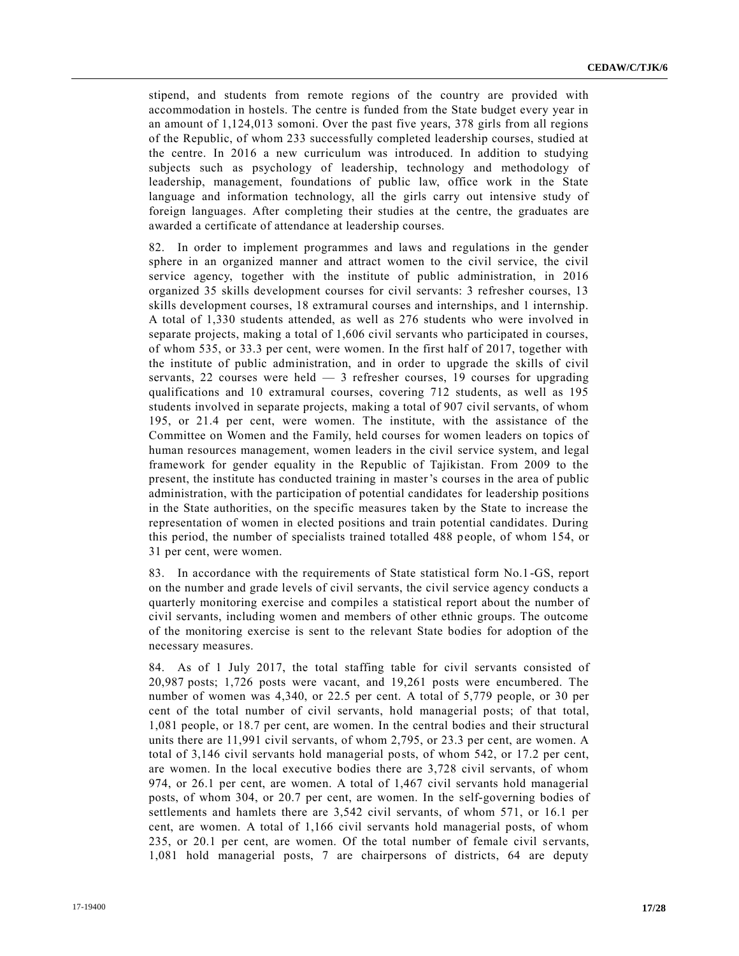stipend, and students from remote regions of the country are provided with accommodation in hostels. The centre is funded from the State budget every year in an amount of 1,124,013 somoni. Over the past five years, 378 girls from all regions of the Republic, of whom 233 successfully completed leadership courses, studied at the centre. In 2016 a new curriculum was introduced. In addition to studying subjects such as psychology of leadership, technology and methodology of leadership, management, foundations of public law, office work in the State language and information technology, all the girls carry out intensive study of foreign languages. After completing their studies at the centre, the graduates are awarded a certificate of attendance at leadership courses.

82. In order to implement programmes and laws and regulations in the gender sphere in an organized manner and attract women to the civil service, the civil service agency, together with the institute of public administration, in 2016 organized 35 skills development courses for civil servants: 3 refresher courses, 13 skills development courses, 18 extramural courses and internships, and 1 internship. A total of 1,330 students attended, as well as 276 students who were involved in separate projects, making a total of 1,606 civil servants who participated in courses, of whom 535, or 33.3 per cent, were women. In the first half of 2017, together with the institute of public administration, and in order to upgrade the skills of civil servants, 22 courses were held — 3 refresher courses, 19 courses for upgrading qualifications and 10 extramural courses, covering 712 students, as well as 195 students involved in separate projects, making a total of 907 civil servants, of whom 195, or 21.4 per cent, were women. The institute, with the assistance of the Committee on Women and the Family, held courses for women leaders on topics of human resources management, women leaders in the civil service system, and legal framework for gender equality in the Republic of Tajikistan. From 2009 to the present, the institute has conducted training in master's courses in the area of public administration, with the participation of potential candidates for leadership positions in the State authorities, on the specific measures taken by the State to increase the representation of women in elected positions and train potential candidates. During this period, the number of specialists trained totalled 488 people, of whom 154, or 31 per cent, were women.

83. In accordance with the requirements of State statistical form No.1-GS, report on the number and grade levels of civil servants, the civil service agency conducts a quarterly monitoring exercise and compiles a statistical report about the number of civil servants, including women and members of other ethnic groups. The outcome of the monitoring exercise is sent to the relevant State bodies for adoption of the necessary measures.

84. As of 1 July 2017, the total staffing table for civil servants consisted of 20,987 posts; 1,726 posts were vacant, and 19,261 posts were encumbered. The number of women was 4,340, or 22.5 per cent. A total of 5,779 people, or 30 per cent of the total number of civil servants, hold managerial posts; of that total, 1,081 people, or 18.7 per cent, are women. In the central bodies and their structural units there are 11,991 civil servants, of whom 2,795, or 23.3 per cent, are women. A total of 3,146 civil servants hold managerial posts, of whom 542, or 17.2 per cent, are women. In the local executive bodies there are 3,728 civil servants, of whom 974, or 26.1 per cent, are women. A total of 1,467 civil servants hold managerial posts, of whom 304, or 20.7 per cent, are women. In the self-governing bodies of settlements and hamlets there are 3,542 civil servants, of whom 571, or 16.1 per cent, are women. A total of 1,166 civil servants hold managerial posts, of whom 235, or 20.1 per cent, are women. Of the total number of female civil servants, 1,081 hold managerial posts, 7 are chairpersons of districts, 64 are deputy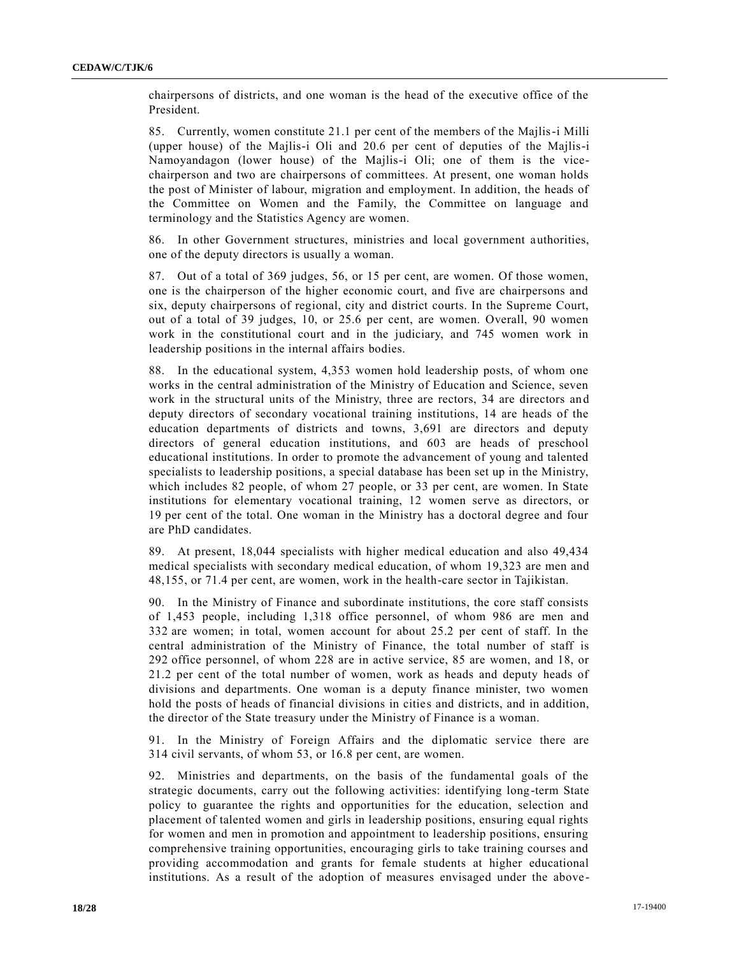chairpersons of districts, and one woman is the head of the executive office of the President.

85. Currently, women constitute 21.1 per cent of the members of the Majlis-i Milli (upper house) of the Majlis-i Oli and 20.6 per cent of deputies of the Majlis-i Namoyandagon (lower house) of the Majlis-i Oli; one of them is the vicechairperson and two are chairpersons of committees. At present, one woman holds the post of Minister of labour, migration and employment. In addition, the heads of the Committee on Women and the Family, the Committee on language and terminology and the Statistics Agency are women.

86. In other Government structures, ministries and local government authorities, one of the deputy directors is usually a woman.

87. Out of a total of 369 judges, 56, or 15 per cent, are women. Of those women, one is the chairperson of the higher economic court, and five are chairpersons and six, deputy chairpersons of regional, city and district courts. In the Supreme Court, out of a total of 39 judges, 10, or 25.6 per cent, are women. Overall, 90 women work in the constitutional court and in the judiciary, and 745 women work in leadership positions in the internal affairs bodies.

88. In the educational system, 4,353 women hold leadership posts, of whom one works in the central administration of the Ministry of Education and Science, seven work in the structural units of the Ministry, three are rectors, 34 are directors and deputy directors of secondary vocational training institutions, 14 are heads of the education departments of districts and towns, 3,691 are directors and deputy directors of general education institutions, and 603 are heads of preschool educational institutions. In order to promote the advancement of young and talented specialists to leadership positions, a special database has been set up in the Ministry, which includes 82 people, of whom 27 people, or 33 per cent, are women. In State institutions for elementary vocational training, 12 women serve as directors, or 19 per cent of the total. One woman in the Ministry has a doctoral degree and four are PhD candidates.

89. At present, 18,044 specialists with higher medical education and also 49,434 medical specialists with secondary medical education, of whom 19,323 are men and 48,155, or 71.4 per cent, are women, work in the health-care sector in Tajikistan.

90. In the Ministry of Finance and subordinate institutions, the core staff consists of 1,453 people, including 1,318 office personnel, of whom 986 are men and 332 are women; in total, women account for about 25.2 per cent of staff. In the central administration of the Ministry of Finance, the total number of staff is 292 office personnel, of whom 228 are in active service, 85 are women, and 18, or 21.2 per cent of the total number of women, work as heads and deputy heads of divisions and departments. One woman is a deputy finance minister, two women hold the posts of heads of financial divisions in cities and districts, and in addition, the director of the State treasury under the Ministry of Finance is a woman.

91. In the Ministry of Foreign Affairs and the diplomatic service there are 314 civil servants, of whom 53, or 16.8 per cent, are women.

92. Ministries and departments, on the basis of the fundamental goals of the strategic documents, carry out the following activities: identifying long-term State policy to guarantee the rights and opportunities for the education, selection and placement of talented women and girls in leadership positions, ensuring equal rights for women and men in promotion and appointment to leadership positions, ensuring comprehensive training opportunities, encouraging girls to take training courses and providing accommodation and grants for female students at higher educational institutions. As a result of the adoption of measures envisaged under the above -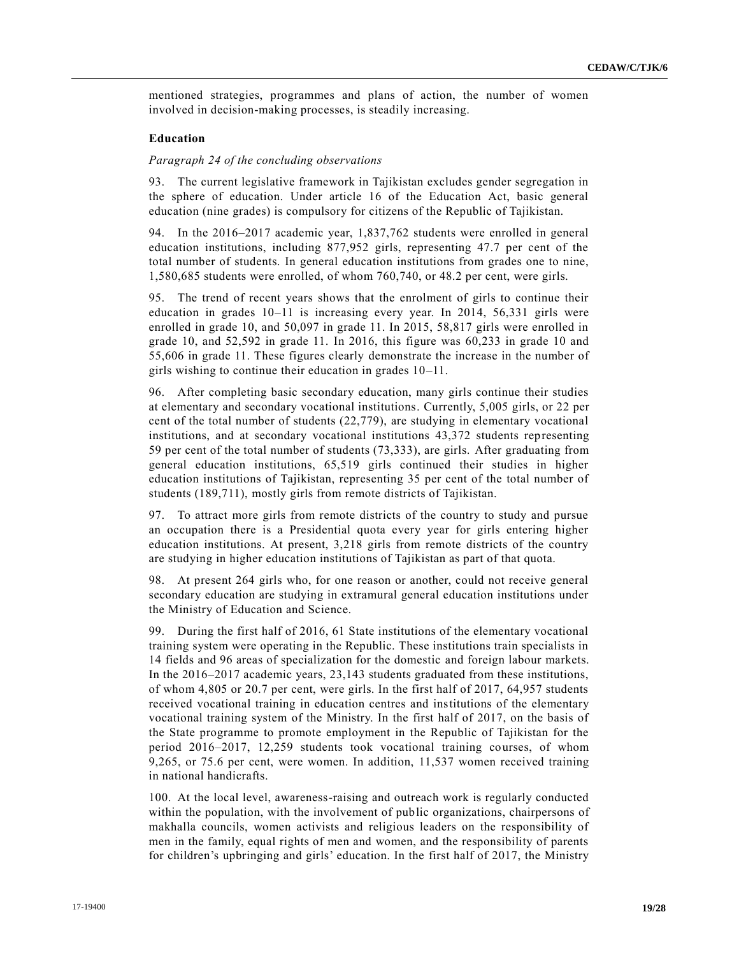mentioned strategies, programmes and plans of action, the number of women involved in decision-making processes, is steadily increasing.

#### **Education**

# *Paragraph 24 of the concluding observations*

93. The current legislative framework in Tajikistan excludes gender segregation in the sphere of education. Under article 16 of the Education Act, basic general education (nine grades) is compulsory for citizens of the Republic of Tajikistan.

94. In the 2016–2017 academic year, 1,837,762 students were enrolled in general education institutions, including 877,952 girls, representing 47.7 per cent of the total number of students. In general education institutions from grades one to nine, 1,580,685 students were enrolled, of whom 760,740, or 48.2 per cent, were girls.

95. The trend of recent years shows that the enrolment of girls to continue their education in grades 10–11 is increasing every year. In 2014, 56,331 girls were enrolled in grade 10, and 50,097 in grade 11. In 2015, 58,817 girls were enrolled in grade 10, and 52,592 in grade 11. In 2016, this figure was 60,233 in grade 10 and 55,606 in grade 11. These figures clearly demonstrate the increase in the number of girls wishing to continue their education in grades 10–11.

96. After completing basic secondary education, many girls continue their studies at elementary and secondary vocational institutions. Currently, 5,005 girls, or 22 per cent of the total number of students (22,779), are studying in elementary vocational institutions, and at secondary vocational institutions 43,372 students representing 59 per cent of the total number of students (73,333), are girls. After graduating from general education institutions, 65,519 girls continued their studies in higher education institutions of Tajikistan, representing 35 per cent of the total number of students (189,711), mostly girls from remote districts of Tajikistan.

97. To attract more girls from remote districts of the country to study and pursue an occupation there is a Presidential quota every year for girls entering higher education institutions. At present, 3,218 girls from remote districts of the country are studying in higher education institutions of Tajikistan as part of that quota.

98. At present 264 girls who, for one reason or another, could not receive general secondary education are studying in extramural general education institutions under the Ministry of Education and Science.

99. During the first half of 2016, 61 State institutions of the elementary vocational training system were operating in the Republic. These institutions train specialists in 14 fields and 96 areas of specialization for the domestic and foreign labour markets. In the 2016–2017 academic years, 23,143 students graduated from these institutions, of whom 4,805 or 20.7 per cent, were girls. In the first half of 2017, 64,957 students received vocational training in education centres and institutions of the elementary vocational training system of the Ministry. In the first half of 2017, on the basis of the State programme to promote employment in the Republic of Tajikistan for the period 2016–2017, 12,259 students took vocational training courses, of whom 9,265, or 75.6 per cent, were women. In addition, 11,537 women received training in national handicrafts.

100. At the local level, awareness-raising and outreach work is regularly conducted within the population, with the involvement of public organizations, chairpersons of makhalla councils, women activists and religious leaders on the responsibility of men in the family, equal rights of men and women, and the responsibility of parents for children's upbringing and girls' education. In the first half of 2017, the Ministry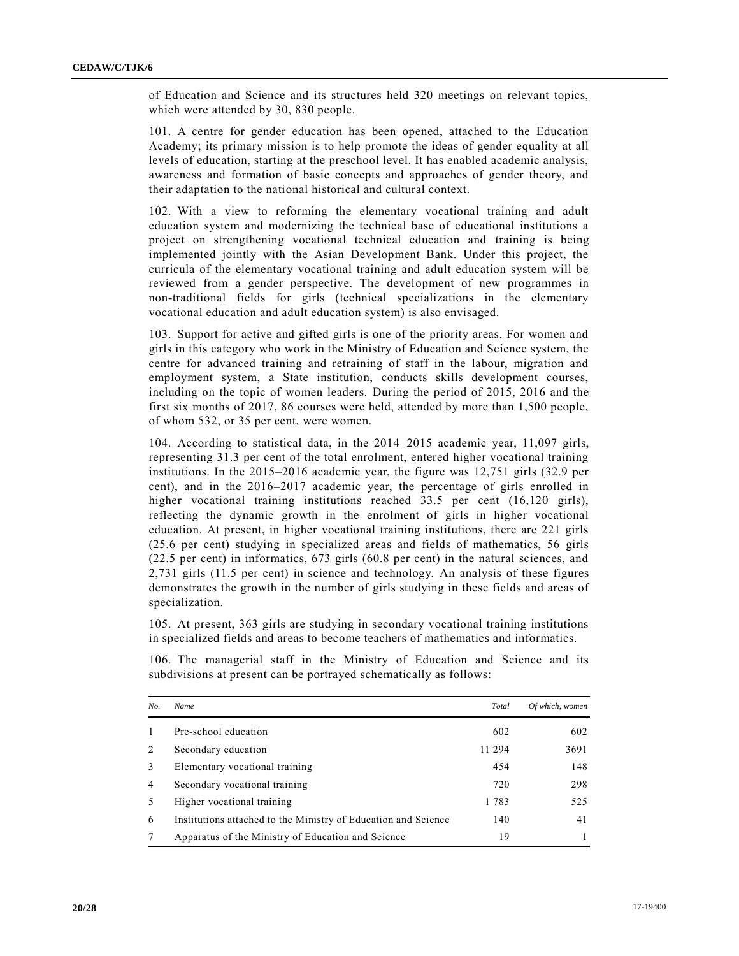of Education and Science and its structures held 320 meetings on relevant topics, which were attended by 30, 830 people.

101. A centre for gender education has been opened, attached to the Education Academy; its primary mission is to help promote the ideas of gender equality at all levels of education, starting at the preschool level. It has enabled academic analysis, awareness and formation of basic concepts and approaches of gender theory, and their adaptation to the national historical and cultural context.

102. With a view to reforming the elementary vocational training and adult education system and modernizing the technical base of educational institutions a project on strengthening vocational technical education and training is being implemented jointly with the Asian Development Bank. Under this project, the curricula of the elementary vocational training and adult education system will be reviewed from a gender perspective. The development of new programmes in non-traditional fields for girls (technical specializations in the elementary vocational education and adult education system) is also envisaged.

103. Support for active and gifted girls is one of the priority areas. For women and girls in this category who work in the Ministry of Education and Science system, the centre for advanced training and retraining of staff in the labour, migration and employment system, a State institution, conducts skills development courses, including on the topic of women leaders. During the period of 2015, 2016 and the first six months of 2017, 86 courses were held, attended by more than 1,500 people, of whom 532, or 35 per cent, were women.

104. According to statistical data, in the 2014–2015 academic year, 11,097 girls, representing 31.3 per cent of the total enrolment, entered higher vocational training institutions. In the 2015–2016 academic year, the figure was 12,751 girls (32.9 per cent), and in the 2016–2017 academic year, the percentage of girls enrolled in higher vocational training institutions reached 33.5 per cent (16,120 girls), reflecting the dynamic growth in the enrolment of girls in higher vocational education. At present, in higher vocational training institutions, there are 221 girls (25.6 per cent) studying in specialized areas and fields of mathematics, 56 girls (22.5 per cent) in informatics, 673 girls (60.8 per cent) in the natural sciences, and 2,731 girls (11.5 per cent) in science and technology. An analysis of these figures demonstrates the growth in the number of girls studying in these fields and areas of specialization.

105. At present, 363 girls are studying in secondary vocational training institutions in specialized fields and areas to become teachers of mathematics and informatics.

106. The managerial staff in the Ministry of Education and Science and its subdivisions at present can be portrayed schematically as follows:

| No. | <b>Name</b>                                                    | Total  | Of which, women |
|-----|----------------------------------------------------------------|--------|-----------------|
|     | Pre-school education                                           | 602    | 602             |
|     | Secondary education                                            | 11 294 | 3691            |
| 3   | Elementary vocational training                                 | 454    | 148             |
| 4   | Secondary vocational training                                  | 720    | 298             |
|     | Higher vocational training                                     | 1783   | 525             |
| 6   | Institutions attached to the Ministry of Education and Science | 140    | 41              |
|     | Apparatus of the Ministry of Education and Science             | 19     |                 |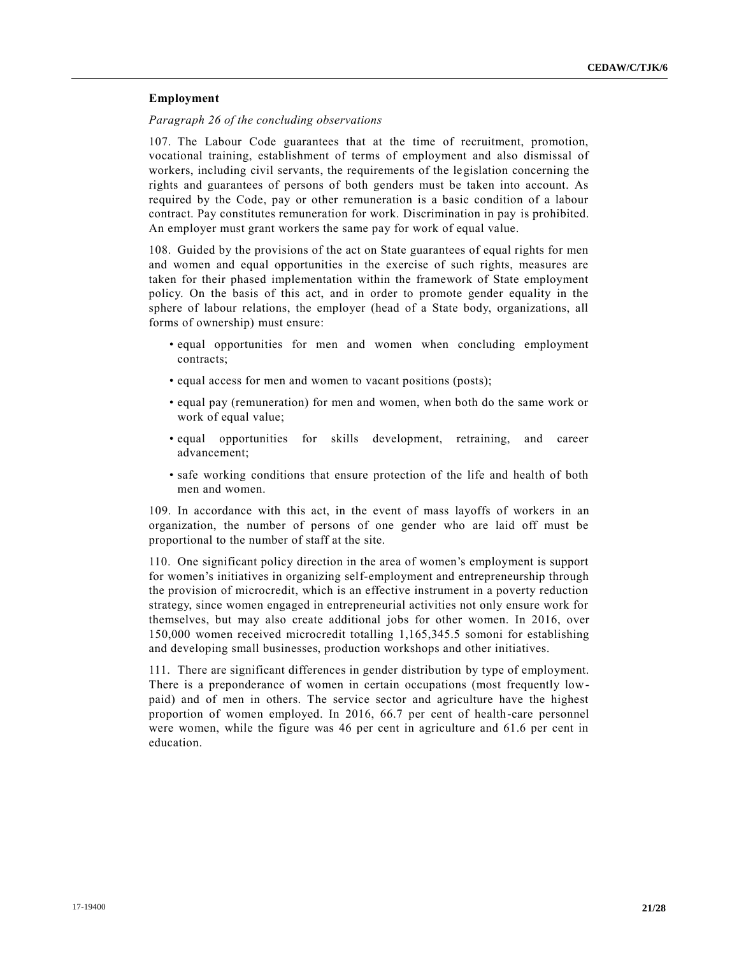# **Employment**

#### *Paragraph 26 of the concluding observations*

107. The Labour Code guarantees that at the time of recruitment, promotion, vocational training, establishment of terms of employment and also dismissal of workers, including civil servants, the requirements of the legislation concerning the rights and guarantees of persons of both genders must be taken into account. As required by the Code, pay or other remuneration is a basic condition of a labour contract. Pay constitutes remuneration for work. Discrimination in pay is prohibited. An employer must grant workers the same pay for work of equal value.

108. Guided by the provisions of the act on State guarantees of equal rights for men and women and equal opportunities in the exercise of such rights, measures are taken for their phased implementation within the framework of State employment policy. On the basis of this act, and in order to promote gender equality in the sphere of labour relations, the employer (head of a State body, organizations, all forms of ownership) must ensure:

- equal opportunities for men and women when concluding employment contracts;
- equal access for men and women to vacant positions (posts);
- equal pay (remuneration) for men and women, when both do the same work or work of equal value;
- equal opportunities for skills development, retraining, and career advancement;
- safe working conditions that ensure protection of the life and health of both men and women.

109. In accordance with this act, in the event of mass layoffs of workers in an organization, the number of persons of one gender who are laid off must be proportional to the number of staff at the site.

110. One significant policy direction in the area of women's employment is support for women's initiatives in organizing self-employment and entrepreneurship through the provision of microcredit, which is an effective instrument in a poverty reduction strategy, since women engaged in entrepreneurial activities not only ensure work for themselves, but may also create additional jobs for other women. In 2016, over 150,000 women received microcredit totalling 1,165,345.5 somoni for establishing and developing small businesses, production workshops and other initiatives.

111. There are significant differences in gender distribution by type of employment. There is a preponderance of women in certain occupations (most frequently lowpaid) and of men in others. The service sector and agriculture have the highest proportion of women employed. In 2016, 66.7 per cent of health-care personnel were women, while the figure was 46 per cent in agriculture and 61.6 per cent in education.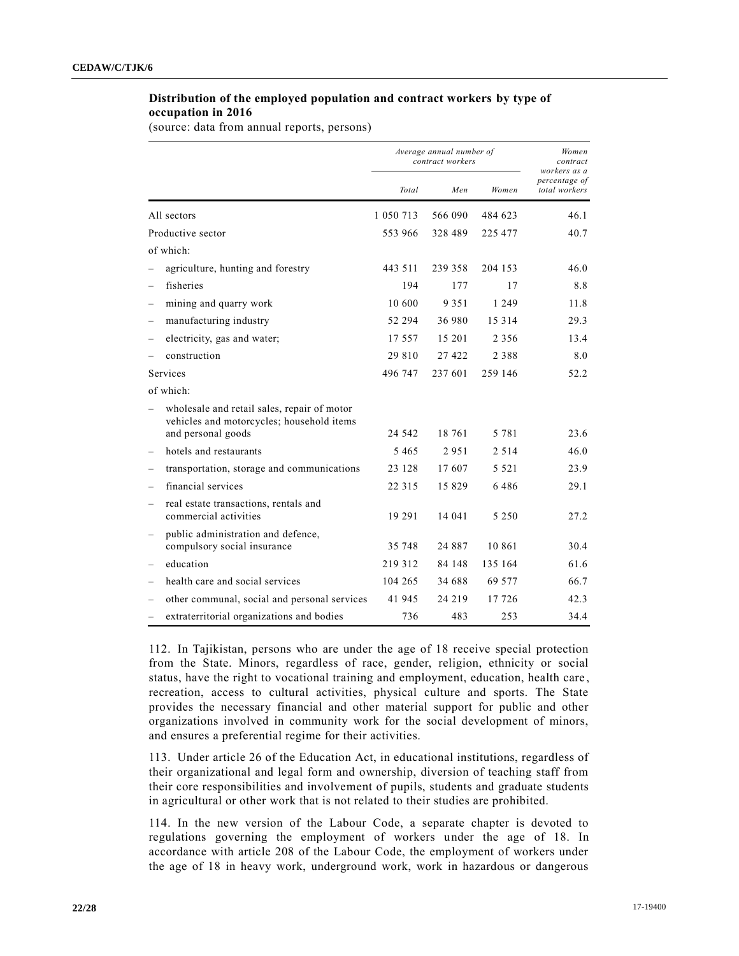# **Distribution of the employed population and contract workers by type of occupation in 2016**

(source: data from annual reports, persons)

|                          |                                                                                          | Average annual number of<br>contract workers |          |         | Women<br>contract<br>workers as a |
|--------------------------|------------------------------------------------------------------------------------------|----------------------------------------------|----------|---------|-----------------------------------|
|                          |                                                                                          | Total                                        | Men      | Women   | percentage of<br>total workers    |
|                          | All sectors                                                                              | 1 050 713                                    | 566 090  | 484 623 | 46.1                              |
|                          | Productive sector                                                                        | 553 966                                      | 328 489  | 225 477 | 40.7                              |
|                          | of which:                                                                                |                                              |          |         |                                   |
|                          | agriculture, hunting and forestry                                                        | 443 511                                      | 239 358  | 204 153 | 46.0                              |
|                          | fisheries                                                                                | 194                                          | 177      | 17      | 8.8                               |
|                          | mining and quarry work                                                                   | 10 600                                       | 9 3 5 1  | 1 2 4 9 | 11.8                              |
|                          | manufacturing industry                                                                   | 52 294                                       | 36 980   | 15 3 14 | 29.3                              |
|                          | electricity, gas and water;                                                              | 17.557                                       | 15 201   | 2 3 5 6 | 13.4                              |
|                          | construction                                                                             | 29 810                                       | 27 4 22  | 2 3 8 8 | 8.0                               |
|                          | Services                                                                                 | 496 747                                      | 237 601  | 259 146 | 52.2                              |
|                          | of which:                                                                                |                                              |          |         |                                   |
|                          | wholesale and retail sales, repair of motor<br>vehicles and motorcycles; household items |                                              |          |         |                                   |
|                          | and personal goods                                                                       | 24 542                                       | 18 761   | 5 7 8 1 | 23.6                              |
|                          | hotels and restaurants                                                                   | 5 4 6 5                                      | 2951     | 2 5 1 4 | 46.0                              |
|                          | transportation, storage and communications                                               | 23 128                                       | 17607    | 5 5 2 1 | 23.9                              |
| $\qquad \qquad -$        | financial services                                                                       | 22 3 15                                      | 15 829   | 6486    | 29.1                              |
| $\overline{\phantom{0}}$ | real estate transactions, rentals and<br>commercial activities                           | 19 29 1                                      | 14 041   | 5 2 5 0 | 27.2                              |
|                          | public administration and defence,<br>compulsory social insurance                        | 35 748                                       | 24 8 8 7 | 10 861  | 30.4                              |
|                          | education                                                                                | 219 312                                      | 84 148   | 135 164 | 61.6                              |
|                          | health care and social services                                                          | 104 265                                      | 34 688   | 69 577  | 66.7                              |
|                          | other communal, social and personal services                                             | 41 945                                       | 24 2 19  | 17 726  | 42.3                              |
|                          | extraterritorial organizations and bodies                                                | 736                                          | 483      | 253     | 34.4                              |

112. In Tajikistan, persons who are under the age of 18 receive special protection from the State. Minors, regardless of race, gender, religion, ethnicity or social status, have the right to vocational training and employment, education, health care , recreation, access to cultural activities, physical culture and sports. The State provides the necessary financial and other material support for public and other organizations involved in community work for the social development of minors, and ensures a preferential regime for their activities.

113. Under article 26 of the Education Act, in educational institutions, regardless of their organizational and legal form and ownership, diversion of teaching staff from their core responsibilities and involvement of pupils, students and graduate students in agricultural or other work that is not related to their studies are prohibited.

114. In the new version of the Labour Code, a separate chapter is devoted to regulations governing the employment of workers under the age of 18. In accordance with article 208 of the Labour Code, the employment of workers under the age of 18 in heavy work, underground work, work in hazardous or dangerous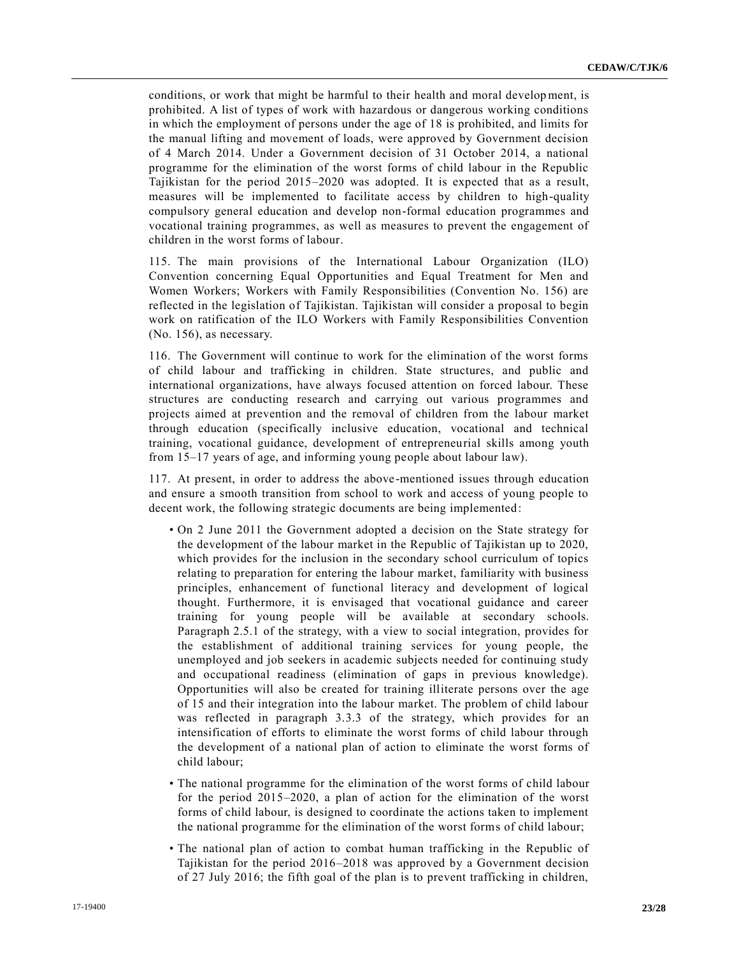conditions, or work that might be harmful to their health and moral development, is prohibited. A list of types of work with hazardous or dangerous working conditions in which the employment of persons under the age of 18 is prohibited, and limits for the manual lifting and movement of loads, were approved by Government decision of 4 March 2014. Under a Government decision of 31 October 2014, a national programme for the elimination of the worst forms of child labour in the Republic Tajikistan for the period 2015–2020 was adopted. It is expected that as a result, measures will be implemented to facilitate access by children to high-quality compulsory general education and develop non-formal education programmes and vocational training programmes, as well as measures to prevent the engagement of children in the worst forms of labour.

115. The main provisions of the International Labour Organization (ILO) Convention concerning Equal Opportunities and Equal Treatment for Men and Women Workers; Workers with Family Responsibilities (Convention No. 156) are reflected in the legislation of Tajikistan. Tajikistan will consider a proposal to begin work on ratification of the ILO Workers with Family Responsibilities Convention (No. 156), as necessary.

116. The Government will continue to work for the elimination of the worst forms of child labour and trafficking in children. State structures, and public and international organizations, have always focused attention on forced labour. These structures are conducting research and carrying out various programmes and projects aimed at prevention and the removal of children from the labour market through education (specifically inclusive education, vocational and technical training, vocational guidance, development of entrepreneurial skills among youth from 15–17 years of age, and informing young people about labour law).

117. At present, in order to address the above-mentioned issues through education and ensure a smooth transition from school to work and access of young people to decent work, the following strategic documents are being implemented:

- On 2 June 2011 the Government adopted a decision on the State strategy for the development of the labour market in the Republic of Tajikistan up to 2020, which provides for the inclusion in the secondary school curriculum of topics relating to preparation for entering the labour market, familiarity with business principles, enhancement of functional literacy and development of logical thought. Furthermore, it is envisaged that vocational guidance and career training for young people will be available at secondary schools. Paragraph 2.5.1 of the strategy, with a view to social integration, provides for the establishment of additional training services for young people, the unemployed and job seekers in academic subjects needed for continuing study and occupational readiness (elimination of gaps in previous knowledge). Opportunities will also be created for training illiterate persons over the age of 15 and their integration into the labour market. The problem of child labour was reflected in paragraph 3.3.3 of the strategy, which provides for an intensification of efforts to eliminate the worst forms of child labour through the development of a national plan of action to eliminate the worst forms of child labour;
- The national programme for the elimination of the worst forms of child labour for the period 2015–2020, a plan of action for the elimination of the worst forms of child labour, is designed to coordinate the actions taken to implement the national programme for the elimination of the worst forms of child labour;
- The national plan of action to combat human trafficking in the Republic of Tajikistan for the period 2016–2018 was approved by a Government decision of 27 July 2016; the fifth goal of the plan is to prevent trafficking in children,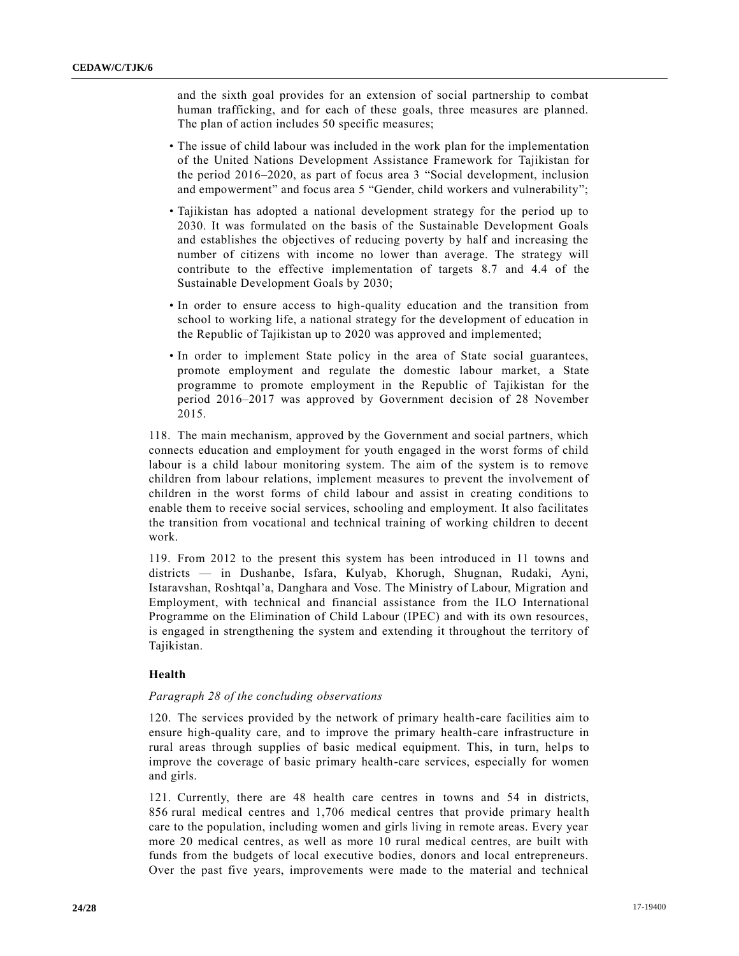and the sixth goal provides for an extension of social partnership to combat human trafficking, and for each of these goals, three measures are planned. The plan of action includes 50 specific measures;

- The issue of child labour was included in the work plan for the implementation of the United Nations Development Assistance Framework for Tajikistan for the period 2016–2020, as part of focus area 3 "Social development, inclusion and empowerment" and focus area 5 "Gender, child workers and vulnerability";
- Tajikistan has adopted a national development strategy for the period up to 2030. It was formulated on the basis of the Sustainable Development Goals and establishes the objectives of reducing poverty by half and increasing the number of citizens with income no lower than average. The strategy will contribute to the effective implementation of targets 8.7 and 4.4 of the Sustainable Development Goals by 2030;
- In order to ensure access to high-quality education and the transition from school to working life, a national strategy for the development of education in the Republic of Tajikistan up to 2020 was approved and implemented;
- In order to implement State policy in the area of State social guarantees, promote employment and regulate the domestic labour market, a State programme to promote employment in the Republic of Tajikistan for the period 2016–2017 was approved by Government decision of 28 November 2015.

118. The main mechanism, approved by the Government and social partners, which connects education and employment for youth engaged in the worst forms of child labour is a child labour monitoring system. The aim of the system is to remove children from labour relations, implement measures to prevent the involvement of children in the worst forms of child labour and assist in creating conditions to enable them to receive social services, schooling and employment. It also facilitates the transition from vocational and technical training of working children to decent work.

119. From 2012 to the present this system has been introduced in 11 towns and districts — in Dushanbe, Isfara, Kulyab, Khorugh, Shugnan, Rudaki, Ayni, Istaravshan, Roshtqal'a, Danghara and Vose. The Ministry of Labour, Migration and Employment, with technical and financial assistance from the ILO International Programme on the Elimination of Child Labour (IPEC) and with its own resources, is engaged in strengthening the system and extending it throughout the territory of Tajikistan.

# **Health**

#### *Paragraph 28 of the concluding observations*

120. The services provided by the network of primary health-care facilities aim to ensure high-quality care, and to improve the primary health-care infrastructure in rural areas through supplies of basic medical equipment. This, in turn, helps to improve the coverage of basic primary health-care services, especially for women and girls.

121. Currently, there are 48 health care centres in towns and 54 in districts, 856 rural medical centres and 1,706 medical centres that provide primary health care to the population, including women and girls living in remote areas. Every year more 20 medical centres, as well as more 10 rural medical centres, are built with funds from the budgets of local executive bodies, donors and local entrepreneurs. Over the past five years, improvements were made to the material and technical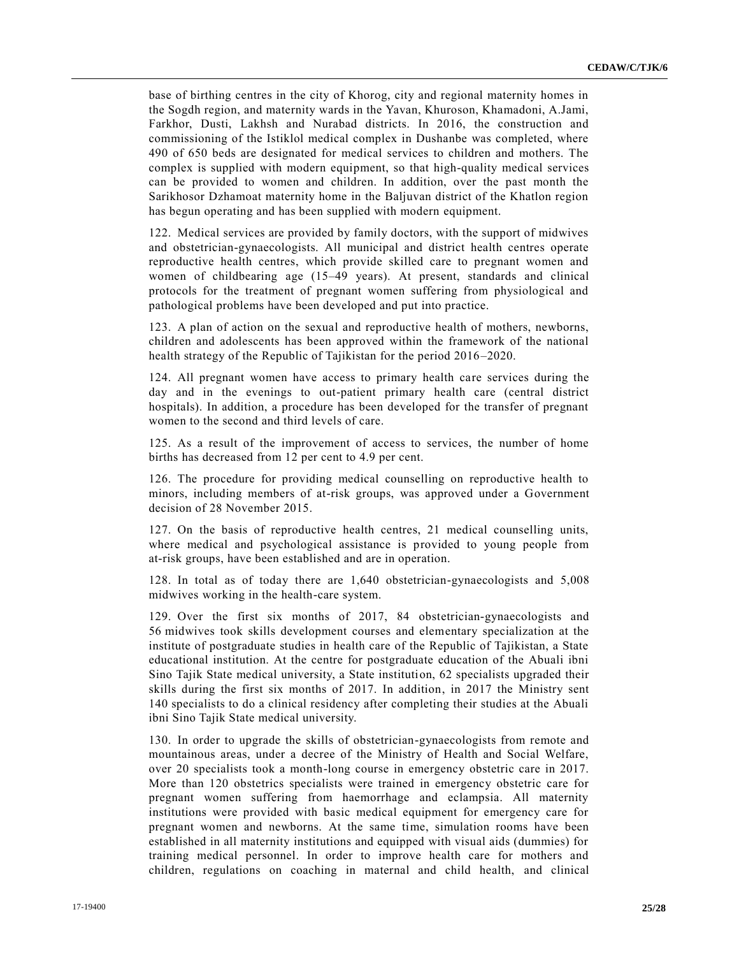base of birthing centres in the city of Khorog, city and regional maternity homes in the Sogdh region, and maternity wards in the Yavan, Khuroson, Khamadoni, A.Jami, Farkhor, Dusti, Lakhsh and Nurabad districts. In 2016, the construction and commissioning of the Istiklol medical complex in Dushanbe was completed, where 490 of 650 beds are designated for medical services to children and mothers. The complex is supplied with modern equipment, so that high-quality medical services can be provided to women and children. In addition, over the past month the Sarikhosor Dzhamoat maternity home in the Baljuvan district of the Khatlon region has begun operating and has been supplied with modern equipment.

122. Medical services are provided by family doctors, with the support of midwives and obstetrician-gynaecologists. All municipal and district health centres operate reproductive health centres, which provide skilled care to pregnant women and women of childbearing age (15–49 years). At present, standards and clinical protocols for the treatment of pregnant women suffering from physiological and pathological problems have been developed and put into practice.

123. A plan of action on the sexual and reproductive health of mothers, newborns, children and adolescents has been approved within the framework of the national health strategy of the Republic of Tajikistan for the period 2016–2020.

124. All pregnant women have access to primary health care services during the day and in the evenings to out-patient primary health care (central district hospitals). In addition, a procedure has been developed for the transfer of pregnant women to the second and third levels of care.

125. As a result of the improvement of access to services, the number of home births has decreased from 12 per cent to 4.9 per cent.

126. The procedure for providing medical counselling on reproductive health to minors, including members of at-risk groups, was approved under a Government decision of 28 November 2015.

127. On the basis of reproductive health centres, 21 medical counselling units, where medical and psychological assistance is provided to young people from at-risk groups, have been established and are in operation.

128. In total as of today there are 1,640 obstetrician-gynaecologists and 5,008 midwives working in the health-care system.

129. Over the first six months of 2017, 84 obstetrician-gynaecologists and 56 midwives took skills development courses and elementary specialization at the institute of postgraduate studies in health care of the Republic of Tajikistan, a State educational institution. At the centre for postgraduate education of the Abuali ibni Sino Tajik State medical university, a State institution, 62 specialists upgraded their skills during the first six months of 2017. In addition, in 2017 the Ministry sent 140 specialists to do a clinical residency after completing their studies at the Abuali ibni Sino Tajik State medical university.

130. In order to upgrade the skills of obstetrician-gynaecologists from remote and mountainous areas, under a decree of the Ministry of Health and Social Welfare, over 20 specialists took a month-long course in emergency obstetric care in 2017. More than 120 obstetrics specialists were trained in emergency obstetric care for pregnant women suffering from haemorrhage and eclampsia. All maternity institutions were provided with basic medical equipment for emergency care for pregnant women and newborns. At the same time, simulation rooms have been established in all maternity institutions and equipped with visual aids (dummies) for training medical personnel. In order to improve health care for mothers and children, regulations on coaching in maternal and child health, and clinical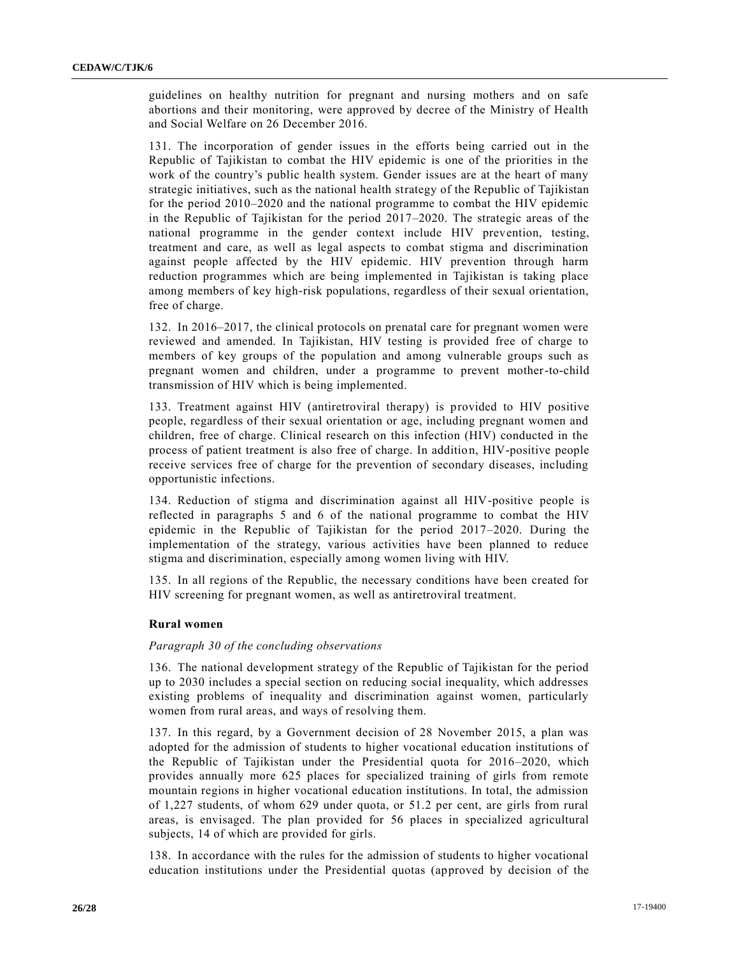guidelines on healthy nutrition for pregnant and nursing mothers and on safe abortions and their monitoring, were approved by decree of the Ministry of Health and Social Welfare on 26 December 2016.

131. The incorporation of gender issues in the efforts being carried out in the Republic of Tajikistan to combat the HIV epidemic is one of the priorities in the work of the country's public health system. Gender issues are at the heart of many strategic initiatives, such as the national health strategy of the Republic of Tajikistan for the period 2010–2020 and the national programme to combat the HIV epidemic in the Republic of Tajikistan for the period 2017–2020. The strategic areas of the national programme in the gender context include HIV prevention, testing, treatment and care, as well as legal aspects to combat stigma and discrimination against people affected by the HIV epidemic. HIV prevention through harm reduction programmes which are being implemented in Tajikistan is taking place among members of key high-risk populations, regardless of their sexual orientation, free of charge.

132. In 2016–2017, the clinical protocols on prenatal care for pregnant women were reviewed and amended. In Tajikistan, HIV testing is provided free of charge to members of key groups of the population and among vulnerable groups such as pregnant women and children, under a programme to prevent mother-to-child transmission of HIV which is being implemented.

133. Treatment against HIV (antiretroviral therapy) is provided to HIV positive people, regardless of their sexual orientation or age, including pregnant women and children, free of charge. Clinical research on this infection (HIV) conducted in the process of patient treatment is also free of charge. In addition, HIV-positive people receive services free of charge for the prevention of secondary diseases, including opportunistic infections.

134. Reduction of stigma and discrimination against all HIV-positive people is reflected in paragraphs 5 and 6 of the national programme to combat the HIV epidemic in the Republic of Tajikistan for the period 2017–2020. During the implementation of the strategy, various activities have been planned to reduce stigma and discrimination, especially among women living with HIV.

135. In all regions of the Republic, the necessary conditions have been created for HIV screening for pregnant women, as well as antiretroviral treatment.

#### **Rural women**

#### *Paragraph 30 of the concluding observations*

136. The national development strategy of the Republic of Tajikistan for the period up to 2030 includes a special section on reducing social inequality, which addresses existing problems of inequality and discrimination against women, particularly women from rural areas, and ways of resolving them.

137. In this regard, by a Government decision of 28 November 2015, a plan was adopted for the admission of students to higher vocational education institutions of the Republic of Tajikistan under the Presidential quota for 2016–2020, which provides annually more 625 places for specialized training of girls from remote mountain regions in higher vocational education institutions. In total, the admission of 1,227 students, of whom 629 under quota, or 51.2 per cent, are girls from rural areas, is envisaged. The plan provided for 56 places in specialized agricultural subjects, 14 of which are provided for girls.

138. In accordance with the rules for the admission of students to higher vocational education institutions under the Presidential quotas (approved by decision of the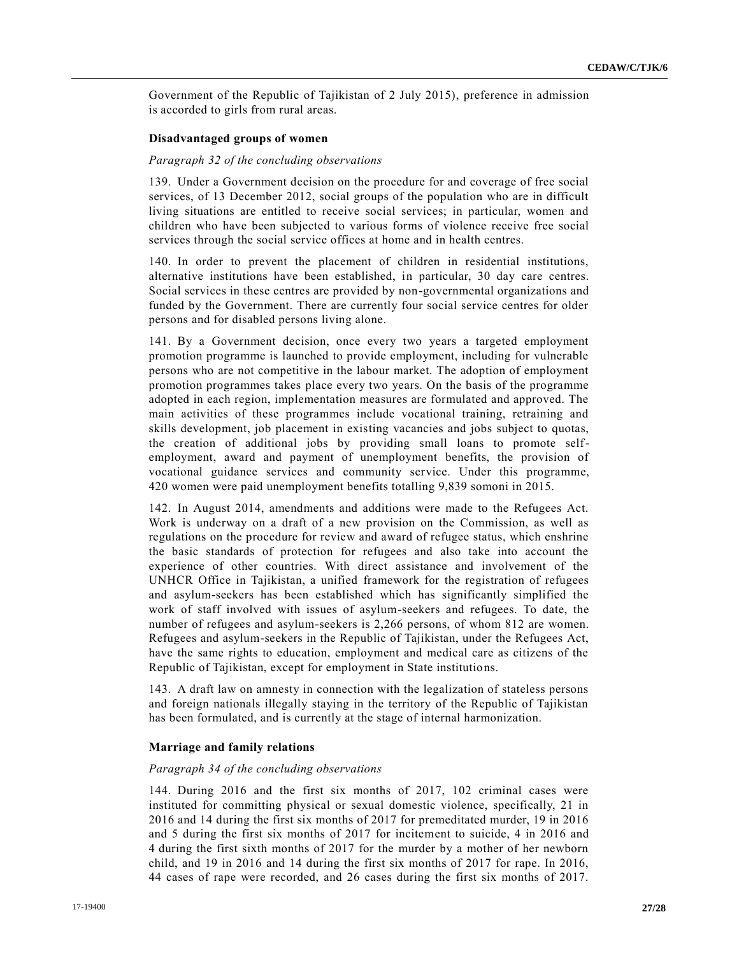Government of the Republic of Tajikistan of 2 July 2015), preference in admission is accorded to girls from rural areas.

## **Disadvantaged groups of women**

#### *Paragraph 32 of the concluding observations*

139. Under a Government decision on the procedure for and coverage of free social services, of 13 December 2012, social groups of the population who are in difficult living situations are entitled to receive social services; in particular, women and children who have been subjected to various forms of violence receive free social services through the social service offices at home and in health centres.

140. In order to prevent the placement of children in residential institutions, alternative institutions have been established, in particular, 30 day care centres. Social services in these centres are provided by non-governmental organizations and funded by the Government. There are currently four social service centres for older persons and for disabled persons living alone.

141. By a Government decision, once every two years a targeted employment promotion programme is launched to provide employment, including for vulnerable persons who are not competitive in the labour market. The adoption of employment promotion programmes takes place every two years. On the basis of the programme adopted in each region, implementation measures are formulated and approved. The main activities of these programmes include vocational training, retraining and skills development, job placement in existing vacancies and jobs subject to quotas, the creation of additional jobs by providing small loans to promote selfemployment, award and payment of unemployment benefits, the provision of vocational guidance services and community service. Under this programme, 420 women were paid unemployment benefits totalling 9,839 somoni in 2015.

142. In August 2014, amendments and additions were made to the Refugees Act. Work is underway on a draft of a new provision on the Commission, as well as regulations on the procedure for review and award of refugee status, which enshrine the basic standards of protection for refugees and also take into account the experience of other countries. With direct assistance and involvement of the UNHCR Office in Tajikistan, a unified framework for the registration of refugees and asylum-seekers has been established which has significantly simplified the work of staff involved with issues of asylum-seekers and refugees. To date, the number of refugees and asylum-seekers is 2,266 persons, of whom 812 are women. Refugees and asylum-seekers in the Republic of Tajikistan, under the Refugees Act, have the same rights to education, employment and medical care as citizens of the Republic of Tajikistan, except for employment in State institutions.

143. A draft law on amnesty in connection with the legalization of stateless persons and foreign nationals illegally staying in the territory of the Republic of Tajikistan has been formulated, and is currently at the stage of internal harmonization.

#### **Marriage and family relations**

#### *Paragraph 34 of the concluding observations*

144. During 2016 and the first six months of 2017, 102 criminal cases were instituted for committing physical or sexual domestic violence, specifically, 21 in 2016 and 14 during the first six months of 2017 for premeditated murder, 19 in 2016 and 5 during the first six months of 2017 for incitement to suicide, 4 in 2016 and 4 during the first sixth months of 2017 for the murder by a mother of her newborn child, and 19 in 2016 and 14 during the first six months of 2017 for rape. In 2016, 44 cases of rape were recorded, and 26 cases during the first six months of 2017.